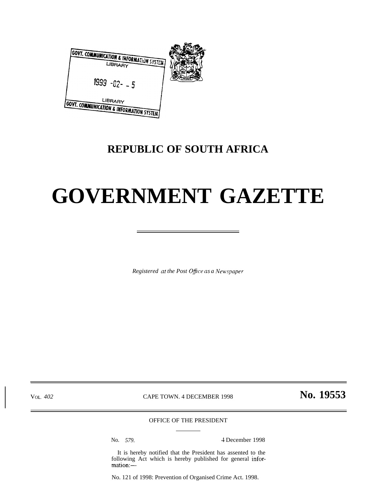

## **REPUBLIC OF SOUTH AFRICA**

# **GOVERNMENT GAZETTE**

*Registered at the Post Office as a Newspaper* 

*VOL. 402* CAPE TOWN. 4 DECEMBER 1998 **No. 19553**

OFFICE OF THE PRESIDENT

No. 579.

*579. 4* December 1998

It is hereby notified that the President has assented to the following Act which is hereby published for general information:—

No. 121 of 1998: Prevention of Organised Crime Act. 1998.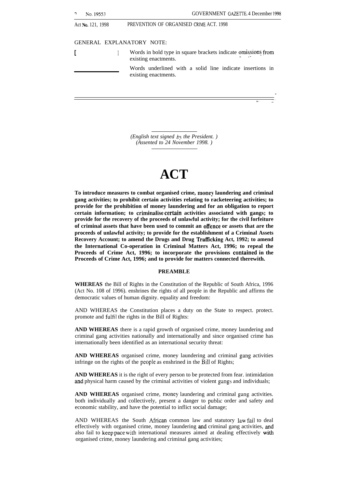| No. 19553<br>$\bigcap$ |                                  | GOVERNMENT GAZETTE, 4 December 1998                                                   |  |  |
|------------------------|----------------------------------|---------------------------------------------------------------------------------------|--|--|
| Act No. 121, 1998      |                                  | PREVENTION OF ORGANISED CRIME ACT. 1998                                               |  |  |
|                        | <b>GENERAL EXPLANATORY NOTE:</b> |                                                                                       |  |  |
|                        |                                  | Words in bold type in square brackets indicate omissions from<br>existing enactments. |  |  |
|                        |                                  | Words underlined with a solid line indicate insertions in<br>existing enactments.     |  |  |
|                        |                                  |                                                                                       |  |  |

., ..-

*(English text signed b? the President. ) (Assented to 24 November 1998. )*

# **ACT**

**To introduce measures to combat organised crime, money laundering and criminal gang activities; to prohibit certain activities relating to racketeering activities; to provide for the prohibition of money laundering and for an obligation to report certain information; to criminalise certiin activities associated with gangs; to provide for the recovery of the proceeds of unlawful activity; for the civil forfeiture of criminal assets that have been used to commit an offence or assets that are the proceeds of unlawful activity; to provide for the establishment of a Criminal Assets** Recovery Account; to amend the Drugs and Drug Trafficking Act, 1992; to amend **the International Co-operation in Criminal Matters Act, 1996; to repeal the** Proceeds of Crime Act, 1996; to incorporate the provisions contained in the **Proceeds of Crime Act, 1996; and to provide for matters connected therewith.**

### **PREAMBLE**

**WHEREAS** the Bill of Rights in the Constitution of the Republic of South Africa, 1996 (Act No. 108 of 1996). enshrines the rights of all people in the Republic and affirms the democratic values of human dignity. equality and freedom:

AND WHEREAS the Constitution places a duty on the State to respect. protect. promote and fulfil the rights in the Bill of Rights:

**AND WHEREAS** there is a rapid growth of organised crime, money laundering and criminal gang activities nationally and internationally and since organised crime has internationally been identified as an international security threat:

**AND WHEREAS** organised crime, money laundering and criminal gang activities infringe on the rights of the people as enshrined in the Bill of Rights;

**AND WHEREAS** it is the right of every person to be protected from fear. intimidation and physical harm caused by the criminal activities of violent gangs and individuals;

AND WHEREAS organised crime, money laundering and criminal gang activities. both individually and collectively, present a danger to public order and safety and economic stability, and have the potential to inflict social damage;

AND WHEREAS the South African common law and statutory law fail to deal effectively with organised crime, money laundering and criminal gang activities, and also fail to keep pace with international measures aimed at dealing effectively with organised crime, money laundering and criminal gang activities;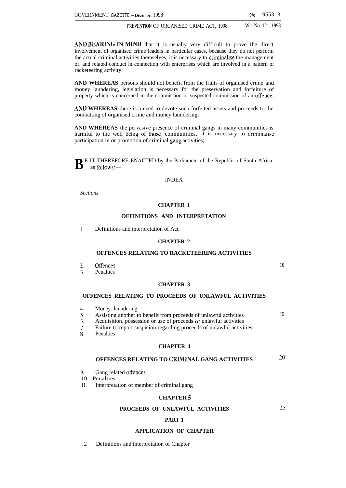AND BEARING IN MIND that it is usually very difficult to prove the direct involvement of organised crime leaders in particular cases, because they do not perform the actual criminal activities themselves, it is necessary to criminalise the management of. and related conduct in connection with enterprises which are involved in a pattern of racketeering activity:

**AND WHEREAS** persons should not benefit from the fruits of organised crime and money laundering, legislation is necessary for the preservation and forfeiture of property which is concerned in the commission or suspected commission of an offence:

**AND WHEREAS** there is a need to devote such forfeited assets and proceeds to the combatting of organised crime and money laundering;

**AND WHEREAS** the pervasive presence of criminal gangs in many communities is harmful to the well being of those communities, it is necessary to criminalise participation in or promotion of criminal gang activities;

**B** E IT THEREFORE ENACTED by the Parliament of the Republic of South Africa.<br>as follows: as follows:—

#### INDEX

*Sections*

### **CHAPTER 1**

### **DEFINITIONS AND INTERPRETATION**

1. Definitions and interpretation of Act

### **CHAPTER 2**

### **OFFENCES RELATING TO RACKETEERING ACTIVITIES**

- **7** Offences 10
- 3. Penalties

### **CHAPTER 3**

### **OFFENCES RELATING TO PROCEEDS OF UNLAWFUL ACTIVITIES**

- 4. Money laundering<br>5. Assisting another t
- 5. Assisting another to benefit from proceeds of unlawful activities 6. Acquisition. possession or use of proceeds of unlawful activities 15
	-

25

- 6. Acquisition. possession or use of proceeds of unlawful activities<br>7. Failure to report suspicion regarding proceeds of unlawful activi 7. Failure to report suspicion regarding proceeds of unlawful activities
- **Penalties**

### **CHAPTER 4**

### **OFFENCES RELATING TO CRIMINAL GANG ACTIVITIES**  $^{20}$

- 9. Gang related offences
- 10. Penalties
- 11. Interpretation of member of criminal gang

### **CHAPTER j**

### **PROCEEDS OF UNLAWFUL ACTIVITIES**

### **PART 1**

### **APPLICATION OF CHAPTER**

12 Definitions and interpretation of Chapter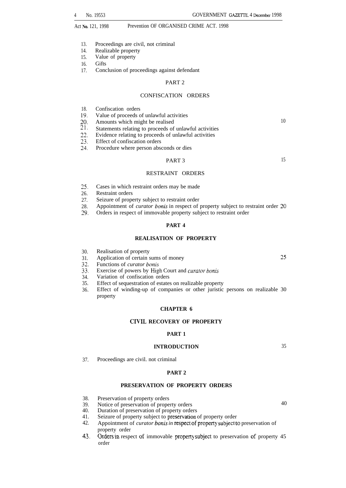- Act No. 121, 1998 Prevention OF ORGANISED CRIME ACT. 1998
	- 13. Proceedings are civil, not criminal
	- 14. Realizable property
	- 15. Value of property
	- 16. **Gifts**
	- 17. Conclusion of proceedings against defendant

### PART 2

### CONFISCATION ORDERS

- 18. Confiscation orders
- 19, Value of proceeds of unlawful activities
- 20. Amounts which might be realised
- 21, Statements relating to proceeds of unlawful activities
- ~p, Evidence relating to proceeds of unlawful activities
- 23, Effect of confiscation orders
- 24. Procedure where person absconds or dies

#### PART 3

### RESTRAINT ORDERS

- 25, Cases in which restraint orders may be made
- 26. Restraint orders
- 27. Seizure of property subject to restraint order
- 28. Appointment of *curator bonis* in respect of property subject to restraint order 20
- 29. Orders in respect of immovable property subject to restraint order

### **PART 4**

### **REALISATION OF PROPERTY**

- 30. Realisation of property
- 31. Application of certain sums of money
- 32. Functions of *curator bonis*
- 33. Exercise of powers by High Court and *curafor bonis*
- 34. Variation of confiscation orders
- 35. Effect of sequestration of estates on realizable property
- 36. Effect of winding-up of companies or other juristic persons on realizable 30 property

### **CHAPTER 6**

### **CWIL RECOVERY OF PROPERTY**

### **PART 1**

### **INTRODUCTION**

35

37. Proceedings are civil. not criminal

### **PART 2**

### **PRESERVATION OF PROPERTY ORDERS**

- 38. Preservation of property orders
- 39. Notice of preservation of property orders 40
- 40. Duration of preservation of property orders
- 41. Seizure of property subject to preservation of property order
- 42. Appointment of *curator bonis in* respect of property subject to preservation of property order
- **43,** Orders in respect of immovable property subject to preservation of property 45 order

25

15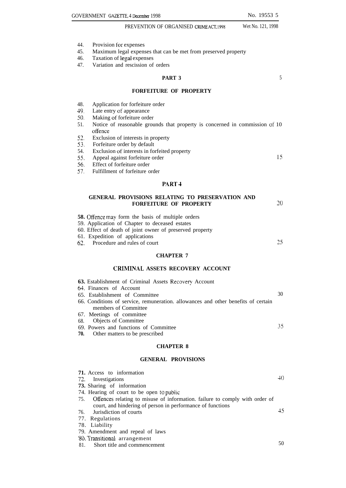- 44. Provision for expenses
- 45. Maximum legal expenses that can be met from preserved property
- 46. Taxation of legal expenses
- 47. Variation and rescission of orders

### **PART 3**

**FORFEITURE OF PROPERTY**

- 48. Application for forfeiture order
- 49. Late entry of appearance
- jO. Making of forfeiture order
- 51. Notice of reasonable grounds that property is concerned in commission of 10 offence
- j2. Exclusion of interests in property
- j3. Forfeiture order by default
- 54. Exclusion of interests in forfeited property
- 55. Appeal against forfeiture order 15
- j6. Effect of forfeiture order
- 57. Fulfillment of forfeiture order

### **P.4RT 4**

### **GENERAL PROVISIONS RELATING TO PRESERVATION AND FORFEITURE OF PROPERTY** 20

- **58.** Offence may form the basis of multiple orders
- 59. Application of Chapter to deceased estates
- 60. Effect of death of joint owner of preserved property
- 61. Expedition of applications
- 62. Procedure and rules of court

### **CHAPTER 7**

### **CRINIINAL ASSETS RECOVERY ACCOUNT**

| 63. Establishment of Criminal Assets Recovery Account                             |    |
|-----------------------------------------------------------------------------------|----|
| 64. Finances of Account                                                           |    |
| 65. Establishment of Committee                                                    | 30 |
| 66. Conditions of service, remuneration. allowances and other benefits of certain |    |
| members of Committee                                                              |    |
| 67. Meetings of committee                                                         |    |
| 68. Objects of Committee                                                          |    |
| 69. Powers and functions of Committee                                             | 35 |
|                                                                                   |    |

**70.** Other matters to be prescribed

### **CHAPTER 8**

### **GENERAL PROVISIONS**

| <b>71.</b> Access to information                                                |     |
|---------------------------------------------------------------------------------|-----|
| 72. Investigations                                                              | 40. |
| 73. Sharing of information                                                      |     |
| 74. Hearing of court to be open to public                                       |     |
| 75. Offences relating to misuse of information. failure to comply with order of |     |
| court, and hindering of person in performance of functions                      |     |
| 76. Jurisdiction of courts                                                      | 45. |
| 77. Regulations                                                                 |     |
| 78. Liability                                                                   |     |
| 79. Amendment and repeal of laws                                                |     |
| 80. Transitional arrangement                                                    |     |
| 81. Short title and commencement                                                | 50  |

5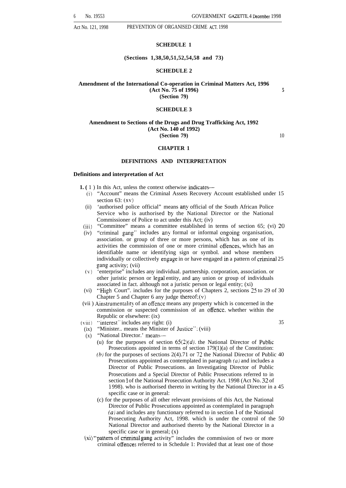#### Act No. 121, 1998 PREVENTION OF ORGANISED CRIME ACT. 1998

#### **SCHEDULE 1**

#### **(Sections 1,38,50,51,52,54,58 and 73)**

### **SCHEDULE 2**

#### **Amendment of the International Co-operation in Criminal Matters Act, 1996 (Act No. 75 of 1996) 5 (Section 79)**

#### **SCHEDULE 3**

### **Amendment to Sections of the Drugs and Drug Trafficking Act, 1992 (Act No. 140 of 1992) (Section 79)** 10

### **CHAPTER 1**

### **DEFINITIONS AND INTERPRETATION**

### **Definitions and interpretation of Act**

**1. (** 1 ) In this Act, unless the context otherwise indicates—

- (i) "Account" means the Criminal Assets Recovery Account established under 15 section 63: (xv)
- (ii) 'authorised police official" means any official of the South African Police Service who is authorised by the National Director or the National Commissioner of Police to act under this Act; (iv)
- (iii) "Committee" means a committee established in terms of section 65; (vi) 20
- (iv) "criminal gang" includes any formal or informal ongoing organisation, association. or group of three or more persons, which has as one of its activities the commission of one or more criminal offences, which has an identifiable name or identifying sign or symbol. and whose members individually or collectively engage in or have engaged in a pattern of criminal 25 gang activity; (vii)
- (1') 'enterprise" includes any individual. partnership. corporation, association. or other juristic person or legal entity, and any union or group of individuals associated in fact. although not a juristic person or legal entity; (xi)
- (vi) "High Court". includes for the purposes of Chapters 2, sections 25 to 29 of 30 Chapter 5 and Chapter 6 any judge thereof;  $(v)$
- (vii ) Ainstrumentality of an offence means any property which is concerned in the commission or suspected commission of an offence. whether within the Republic or elsewhere: (ix)
- $(viii)$  "interest" includes any right: (i)  $35$ 
	- $(ix)$  "Minister.. means the Minister of Justice": (viii)

 $(x)$  "National Director.' means—

- (u) for the purposes of section  $65(2)(d)$ . the National Director of Public Prosecutions appointed in terms of section 179(1)(a) of the Constitution:
- (b) for the purposes of sections  $2(4)$ .71 or 72 the National Director of Public 40 Prosecutions appointed as contemplated in paragraph *(a)* and includes a Director of Public Prosecutions. an Investigating Director of Public Prosecutions and a Special Director of Public Prosecutions referred to in section 1 of the National Prosecution Authority Act. 1998 (Act No. 32 of ] 998). who is authorised thereto in writing by the National Director in a 45 specific case or in general:
- (c) for the purposes of all other relevant provisions of this Act, the National Director of Public Prosecutions appointed as contemplated in paragraph *(a)* and includes any functionary referred to in section 1 of the National Prosecuting Authority Act, 1998. which is under the control of the 50 National Director and authorised thereto by the National Director in a specific case or in general; (x)
- (xi) "pattern of criminal gang activity" includes the commission of two or more criminal offences referred to in Schedule 1: Provided that at least one of those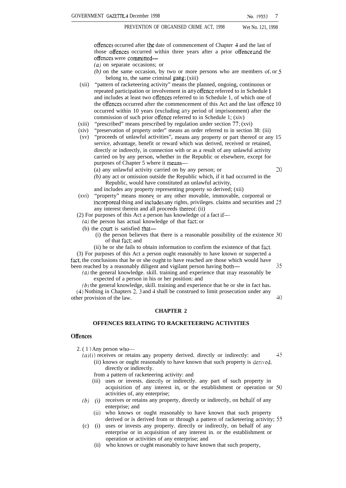offences occurred after tie date of commencement of Chapter 4 and the last of those offences occurred within three years after a prior offence and the offences were committed—

- *(a)* on separate occasions; or
- $(b)$  on the same occasion, by two or more persons who are members of, or 5 belong to, the same criminal gang; (xiii)
- $(xii)$ "pattern of racketeering activity" means the planned, ongoing, continuous or repeated participation or involvement in any offence referred to in Schedule 1 and includes at least two offences referred to in Schedule 1, of which one of the offences occurred after the commencement of this Act and the last offence 10 occurred within 10 years (excluding any period of imprisonment) after the commission of such prior offence referred to in Schedule 1; (xiv)
- $(xiii)$ "prescribed" means prescribed by regulation under section 77; (xvi)
- (xiv) "preservation of property order" means an order referred to in section 38: (iii)
- (xv) "proceeds of unlawful activities", means any property or part thereof or any 15 service, advantage, benefit or reward which was derived, received or retained, directly or indirectly, in connection with or as a result of any unlawful activity carried on by any person, whether in the Republic or elsewhere, except for purposes of Chapter 5 where it means—
	- (a) any unlawful activity carried on by any person; or **20**
		-
	- *(b)* any act or omission outside the Republic which, if it had occurred in the Republic, would have constituted an unlawful activity,

and includes any property representing property so derived; (xii)

- $(xvi)$ "property" means money or any other movable, immovable, corporeal or incorporeal thing and includes any rights, privileges. claims and securities and 25 any interest therein and all proceeds thereof: (ii)
- (2) For purposes of this Act a person has knowledge of a fact if—
	- *(a)* the person has actual knowledge of that fact: or
	- (b) the court is satisfied that—
		- (i) the person believes that there is a reasonable possibility of the existence 30 of that fact; and

(ii) he or she fails to obtain information to confirm the existence of that fact,

(3) For purposes of this Act a person ought reasonably to have known or suspected a fact, the conclusions that he or she ought to have reached are those which would have been reached by a reasonably diligent and vigilant person having both— 35

*(a)* the general knowledge. skill. training and experience that may reasonably be expected of a person in his or her position: and

 $(b)$  the general knowledge, skill. training and experience that he or she in fact has. (4) Nothing in Chapters 2.3 and 4 shall be construed to limit prosecution under any other provision of the law. 40

### **CHAPTER 2**

### **OFFENCES RELATING TO RACKETEERING ACTIVITIES**

### **Offences**

2. ( 1 ) Any person who—

 $(a)(i)$  receives or retains any property derived. directly or indirectly: and  $\overline{45}$ (ii) knows or ought reasonably to have known that such property is derived. directly or indirectly.

from a pattern of racketeering activity: and

- (iii) uses or invests. directly or indirectly. any part of such property in acquisition of any interest in, or the establishment or operation or 50 activities of, any enterprise;
- *(b) (i)* receives or retains any property, directly or indirectly, on behalf of any enterprise; and
	- (ii) who knows or ought reasonably to have known that such property derived or is derived from or through a pattern of racketeering activity;  $55$
- (c) (i) uses or invests any property. directly or indirectly, on behalf of any enterprise or in acquisition of any interest in. or the establishment or operation or activities of any enterprise; and
	- $(ii)$ who knows or ought reasonably to have known that such property,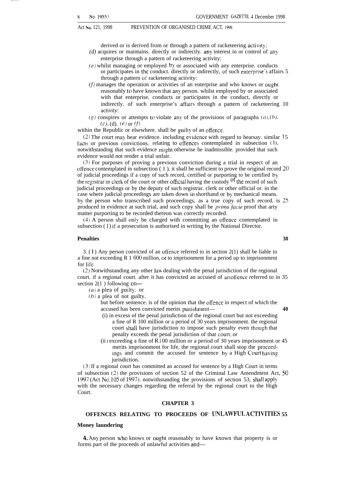Act **No. 121, 1998** PREVENTION OF ORGANISED CRIME ACT. 1998

derived or is derived from or through a pattern of racketeering activity;

- *(d)* acquires or maintains. directly or indirectly. any interest in or control of any enterprise through a pattern of racketeering activity:
- (e) whilst managing or employed by or associated with any enterprise. conducts or participates in the conduct. directly or indirectly, of such enterprise's affairs 5 through a pattern of racketeering activity:
- (f) manages the operation or activities of an enterprise and who knows or ought reasonably to have known that any person. whilst employed by or associated with that enterprise. conducts or participates in the conduct, directly or indirectly. of such enterprise's affairs through a pattern of racketeering 10 activity:
- $(g)$  conspires or attempts to violate any of the provisions of paragraphs  $(a)$ .  $(b)$ .  $(c)$ , (d).  $(e)$  or  $(f)$ .

within the Republic or elsewhere. shall be guilty of an offence.

(2) The court may hear evidence, including evidence with regard to hearsay, similar  $15$ facts or previous convictions. relating to offences contemplated in subsection (1). notwithstanding that such evidence might otherwise be inadmissible. provided that such evidence would not render a trial unfair.

(3) For purposes of proving a previous conviction during a trial in respect of an offence contemplated in subsection ( 1 ). it shall be sufficient to prove the original record 20 of judicial proceedings if a copy of such record, certified or purporting to be certified by the registrar or clerk of the court or other official having the custody <sup>of</sup> the record of such judicial proceedings or by the deputy of such registrar. clerk or other official or. in the case where judicial proceedings are taken down in shorthand or by mechanical means. by the person who transcribed such proceedings, as a true copy of such record. is 25 produced in evidence at such trial, and such copy shall be *prima facie* proof that arty matter purporting to be recorded thereon was correctly recorded.

(4) A person shall only be charged with committing an offence contemplated in subsection (1) if a prosecution is authorised in writing by the National Director.

#### **Penalties 30**

3. (1) Any person convicted of an offence referred to in section  $2(1)$  shall be liable to a fine not exceeding R 1 000 million, or to imprisonment for a period up to imprisonment for life.

(2) Notwithstanding any other law dealing with the penal jurisdiction of the regional court. if a regional court. after it has convicted an accused of an offence referred to in 35 section  $2(1)$  following on-

- $(a)$  a plea of guilty: or
- $(b)$  a plea of not guilty.

but before sentence. is of the opinion that the offence in respect of which the accused has been convicted merits punishment— **40** 

- (i) in excess of the penal jurisdiction of the regional court but not exceeding a fine of R 100 million or a period of 30 years imprisonment. the regional court shall have jurisdiction to impose such penalty even though that penalty exceeds the penal jurisdiction of that court: or
- (ii) exceeding a fine of  $R100$  million or a period of 30 years imprisonment or 45 merits imprisonment for life, the regional court shall stop the proceedings and commit the accused for sentence by a High Court having jurisdiction.

(3) If a regional court has committed an accused for sentence by a High Court in terms of subsection  $(2)$  the provisions of section 52 of the Criminal Law Amendment Act, 50 1997 (Act No. 105 of 1997). notwithstanding the provisions of section 53, shall apply with the necessary changes regarding the referral by the regional court to the High Court.

#### **CHAPTER 3**

### **OFFENCES RELATING TO PROCEEDS OF UNLAWTFUL ACT1171TIES 55**

### **Money laundering**

4. Any person who knows or ought reasonably to have known that property is or forms part of the proceeds of unlawful activities and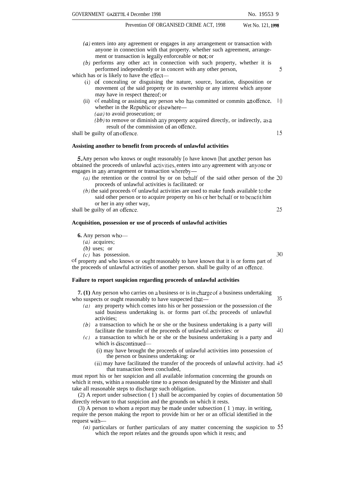Prevention OF ORGANISED CRIME ACT, 1998 Wet No. 121, 1998

- $(a)$  enters into any agreement or engages in any arrangement or transaction with anyone in connection with that property. whether such agreement, arrangement or transaction is legally enforceable or not; or
- (b) performs any other act in connection with such property, whether it is performed independently or in concert with any other person,  $\frac{5}{9}$

which has or is likely to have the effect—

- (i) of concealing or disguising the nature, source, location, disposition or movement of the said property or its ownership or any interest which anyone may have in respect thereof; or
- (ii) of enabling or assisting any person who has committed or commits an offence,  $I(\theta)$ whether in the Republic or elsewhere—
	- *(au)* to avoid prosecution; or
	- $(bb)$  to remove or diminish any property acquired directly, or indirectly, as a result of the commission of an offence,

shall be guilty of an offence. let us a set of an offence of  $\frac{15}{2}$ 

### **Assisting another to benefit from proceeds of unlawful activities**

**5.** Any person who knows or ought reasonably [o have known [hat another person has obtained the proceeds of unlawful activities, enters into any agreement with anyone or engages in any arrangement or transaction whereby—

- $(a)$  the retention or the control by or on behalf of the said other person of the 20 proceeds of unlawful activities is facilitated: or
- $(b)$  the said proceeds of unlawful activities are used to make funds available to the said other person or to acquire property on his or her behalf or to benetit him or her in any other way,

shall be guilty of an offence. 25

### **Acquisition, possession or use of proceeds of unlawful activities**

- **6.** Any person who—
	- *(a)* acquires;
	- *(b)* uses; or
	- $(c)$  has possession.  $30$

of property and who knows or ought reasonably to have known that it is or forms part of the proceeds of unlawful activities of another person. shall be guilty of an offence.

### **Failure to report suspicion regarding proceeds of unlawful activities**

**7. (1)** Any person who carries on a business or is in charge of a business undertaking who suspects or ought reasonably to have suspected that—  $35$ 

- ( $a$ ) any property which comes into his or her possession or the possession of the said business undertaking is. or forms part of. the proceeds of unlawful activities;
- **(b)** a transaction to which he or she or the business undertaking is a party will facilitate the transfer of the proceeds of unlawful activities: or  $40$
- $(c)$  a transaction to which he or she or the business undertaking is a party and which is discontinued—
	- (i) may have brought the proceeds of unlawful activities into possession of the person or business undertaking: or
	- (ii) may have facilitated the transfer of the proceeds of unlawful activity. had  $45$ that transaction been concluded,

must report his or her suspicion and all available information concerning the grounds on which it rests, within a reasonable time to a person designated by the Minister and shall take all reasonable steps to discharge such obligation.

(2) A report under subsection  $(1)$  shall be accompanied by copies of documentation 50 directly relevant to that suspicion and the grounds on which it rests.

(3) A person to whom a report may be made under subsection  $(1)$  may. in writing, require the person making the report to provide him or her or an official identified in the request with—

 $(a)$  particulars or further particulars of any matter concerning the suspicion to 55 which the report relates and the grounds upon which it rests; and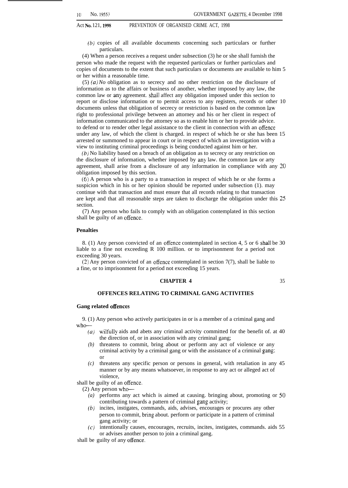### Act No. 121, 1998 PREVENTION OF ORGANISED CRIME ACT, 1998

(b) copies of all available documents concerning such particulars or further particulars.

(4) When a person receives a request under subsection (3) he or she shall furnish the person who made the request with the requested particulars or further particulars and copies of documents to the extent that such particulars or documents are available to him 5 or her within a reasonable time.

(5) *(a) No* obligation as to secrecy and no other restriction on the disclosure of information as to the affairs or business of another, whether imposed by any law, the common law or any agreement. shall affect any obligation imposed under this section to report or disclose information or to permit access to any registers, records or other 10 documents unless that obligation of secrecy or restriction is based on the common law right to professional privilege between an attorney and his or her client in respect of information communicated to the attorney so as to enable him or her to provide advice. to defend or to render other legal assistance to the client in connection with an offence under any law, of which the client is charged. in respect of which he or she has been 15 arrested or summoned to appear in court or in respect of which an investigation with a view to instituting criminal proceedings is being conducted against him or her.

 $(b)$  No liability based on a breach of an obligation as to secrecy or any restriction on the disclosure of information, whether imposed by any law. the common law or arty agreement, shall arise from a disclosure of any information in compliance with any 20 obligation imposed by this section.

(6) A person who is a party to a transaction in respect of which he or she forms a suspicion which in his or her opinion should be reported under subsection (1). may continue with that transaction and must ensure that all records relating to that transaction are kept and that all reasonable steps are taken to discharge the obligation under this 25 section.

(7) Any person who fails to comply with an obligation contemplated in this section shall be guilty of an offence.

#### **Penalties**

8. (1) Any person convicted of an offence contemplated in section 4, 5 or 6 shall be 30 liable to a fine not exceeding R 100 million. or to imprisonment for a period not exceeding 30 years.

(2) Any person convicted of an offence contemplated in section 7(7), shall be liable to a fine, or to imprisonment for a period not exceeding 15 years.

#### **CHAPTER 4** 35

### **OFFENCES RELATING TO CRIMINAL GANG ACTIVITIES**

#### **Gang related offences**

9. (1) Any person who actively participates in or is a member of a criminal gang and who-

- *(a)* wilfully aids and abets any criminal activity committed for the benefit of. at 40 the direction of, or in association with any criminal gang;
- *(b)* threatens to commit, bring about or perform any act of violence or any criminal activity by a criminal gang or with the assistance of a criminal gang: or
- *(c)* threatens any specific person or persons in general, with retaliation in any 45 manner or by any means whatsoever, in response to any act or alleged act of violence,

shall be guilty of an offence.

 $(2)$  Any person who-

- *(a)* performs any act which is aimed at causing. bringing about, promoting or 50 contributing towards a pattern of criminal gang activity;
- *(b)* incites, instigates, commands, aids, advises, encourages or procures any other person to commit, bring about. perform or participate in a pattern of criminal gang activity; or
- *(c)* intentionally causes, encourages, recruits, incites, instigates, commands. aids 55 or advises another person to join a criminal gang.

shall be guilty of any offence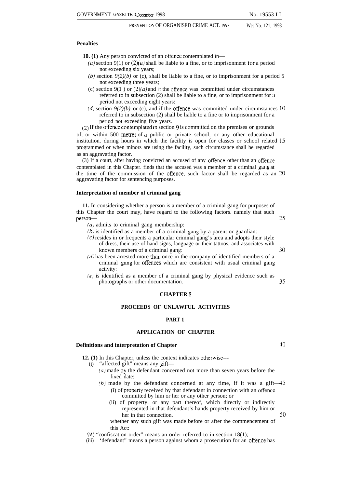### **Penalties**

**10. (1)** Any person convicted of an offence contemplated in—

- (a) section 9(1) or  $(2)(a)$  shall be liable to a fine, or to imprisonment for a period not exceeding six years;
- (b) section  $9(2)(b)$  or (c), shall be liable to a fine, or to imprisonment for a period 5 not exceeding three years;
- (c) section  $9(1)$  or  $(2)(a)$  and if the offence was committed under circumstances referred to in subsection (2) shall be liable to a fine, or to imprisonment for a period not exceeding eight years:
- (d) section  $9(2)(b)$  or (c), and if the offence was committed under circumstances 10 referred to in subsection (2) shall be liable to a fine or to imprisonment for a period not exceeding five years.

 $(2)$  If the offence contemplated in section 9 is committed on the premises or grounds of, or within 500 metres of a public or private school, or any other educational institution. during hours in which the facility is open for classes or school related  $15$ programmed or when minors are using the facility, such circumstance shall be regarded as an aggravating factor.

(3) If a court, after having convicted an accused of any offence. other than an offence contemplated in this Chapter. finds that the accused was a member of a criminal gang at the time of the commission of the offence. such factor shall be regarded as an 20 aggravating factor for sentencing purposes.

### **Interpretation of member of criminal gang**

**11.** In considering whether a person is a member of a criminal gang for purposes of this Chapter the court may, have regard to the following factors. namely that such person— 25

- $(a)$  admits to criminal gang membership:
- *(b)* is identified as a member of a criminal gang by a parent or guardian:
- $(c)$  resides in or frequents a particular criminal gang's area and adopts their style of dress, their use of hand signs, language or their tattoos, and associates with known members of a criminal gang; **30**
- **(d)** has been arrested more than once in the company of identified members of a criminal gang for offences which are consistent with usual criminal gang activity:
- (e) is identified as a member of a criminal gang by physical evidence such as photographs or other documentation. 35

#### **CHAPTER j**

### **PROCEEDS OF UNLAWFUL ACTIVITIES**

### **PART 1**

### **APPLICATION OF CHAPTER**

### **Definitions and interpretation of Chapter** 40

**12. (1)** In this Chapter, unless the context indicates otherwise—

(i) "affected gift" means any gift—

- (a) made by the defendant concerned not more than seven years before the fixed date:
- $(b)$  made by the defendant concerned at any time, if it was a gift—45 (i) of property received by that defendant in connection with an offence
	- committed by him or her or any other person; or (ii) of property. or any part thereof, which directly or indirectly represented in that defendant's hands property received by him or  $\frac{1}{50}$  her in that connection.  $\frac{50}{50}$

whether any such gift was made before or after the commencement of this Act:

- $(h)$  "confiscation order" means an order referred to in section 18(1);
- (iii) 'defendant" means a person against whom a prosecution for an offence has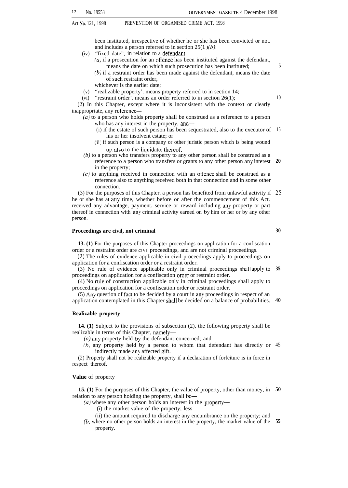been instituted, irrespective of whether he or she has been convicted or not. and includes a person referred to in section  $25(1)(b)$ ;

- $(iv)$ "fixed date", in relation to a defendant—
	- $(a)$  if a prosecution for an offence has been instituted against the defendant, means the date on which such prosecution has been instituted; 5
	- $(b)$  if a restraint order has been made against the defendant, means the date of such restraint order, whichever is the earlier date;
- (v) "realizable property'. means property referred to in section 14;
- (vi) "restraint order'. means an order referred to in section  $26(1)$ ;  $10$

(2) In this Chapter, except where it is inconsistent with the context or clearly inappropriate, any reference—

 $(a)$  to a person who holds property shall be construed as a reference to a person who has any interest in the property, and—

- (i) if the estate of such person has been sequestrated, also to the executor of 15 his or her insolvent estate; or
- (ii) if such person is a company or other juristic person which is being wound up, also to the liquidator thereof;
- *(b)* to a person who transfers property to any other person shall be construed as a reference to a person who transfers or grants to any other person any interest **20** in the property;
- (c) to anything received in connection with an offence shall be construed as a reference also to anything received both in that connection and in some other connection.

(3) For the purposes of this Chapter. a person has benefited from unlawful activity if **25** he or she has at any time, whether before or after the commencement of this Act. received any advantage, payment. service or reward including any property or part thereof in connection with any criminal activity earned on by him or her or by any other person.

#### **Proceedings are civil, not criminal**

**13. (1)** For the purposes of this Chapter proceedings on application for a confiscation order or a restraint order are civil proceedings, and are not criminal proceedings.

(2) The rules of evidence applicable in civil proceedings apply to proceedings on application for a confiscation order or a restraint order.

(3) No rule of evidence applicable only in criminal proceedings shall apply to **35** proceedings on application for a confiscation order or restraint order.

(4) No rule of construction applicable only in criminal proceedings shall apply to proceedings on application for a confiscation order or restraint order.

(5) Any question of fact to be decided by a court in any proceedings in respect of an application contemplated in this Chapter shall be decided on a balance of probabilities. **40**

#### **Realizable property**

**14. (1)** Subject to the provisions of subsection (2), the following property shall be realizable in terms of this Chapter, namely—

*(a)* any property held by the defendant concerned; and

*(b)* any property held by a person to whom that defendant has directly or 45 indirectly made any affected gift.

(2) Property shall not be realizable property if a declaration of forfeiture is in force in respect thereof.

#### **Value** of property

**15. (1)** For the purposes of this Chapter, the value of property, other than money, in **50** relation to any person holding the property, shall be—

 $(a)$  where any other person holds an interest in the property—

(i) the market value of the property; less

(ii) the amount required to discharge any encumbrance on the property; and

(b) where no other person holds an interest in the property, the market value of the **55**property.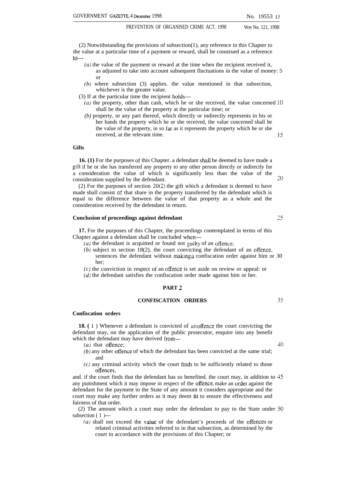(2) Notwithstanding the provisions of subsection(1), any reference in this Chapter to the value at a particular time of a payment or reward, shall be construed as a reference to—

- *(a)* the value of the payment or reward at the time when the recipient received it, as adjusted to take into account subsequent fluctuations in the value of money: 5 or
- (b) where subsection (3) applies. the value mentioned in that subsection, whichever is the greater value.

(3) If at the particular time the recipient holds—

- $(a)$  the property, other than cash, which he or she received, the value concerned 10 shall be the value of the property at the particular time; or
- *(b)* property, or any part thereof, which directly or indirectly represents in his or her hands the property which he or she received, the value concerned shall be the value of the property, in so far as it represents the property which he or she received, at the relevant time. If  $\frac{15}{15}$

### **Gifts**

**16. (1)** For the purposes of this Chapter. a defendant shall be deemed to have made a gift if he or she has transferred any property to any other person directly or indirectly for a consideration the value of which is significantly less than the value of the consideration supplied by the defendant.  $20$ 

(2) For the purposes of section 20(2) the gift which a defendant is deemed to have made shall consist of that share in the property transferred by the defendant which is equal to the difference between the value of that property as a whole and the consideration received by the defendant in return.

### **Conclusion of proceedings against defendant 25**

**17.** For the purposes of this Chapter, the proceedings contemplated in terms of this Chapter against a defendant shall be concluded when—

 $(a)$  the defendant is acquitted or found not guilty of an offence;

 $(b)$  subject to section 18(2), the court convicting the defendant of an offence, sentences the defendant without making a confiscation order against him or 30 her;

 $(c)$  the conviction in respect of an offence is set aside on review or appeal: or

 $(d)$  the defendant satisfies the confiscation order made against him or her.

### **PART 2**

### **CONFISCATION ORDERS**

#### **Confiscation orders**

**18.** (1) Whenever a defendant is convicted of an offence the court convicting the defendant may, on the application of the public prosecutor, enquire into any benefit which the defendant may have derived from—

(a) that offence;  $\frac{40}{2}$ 

- *(b)* any other offence of which the defendant has been convicted at the same trial; and
- $(c)$  any criminal activity which the court finds to be sufficiently related to those offences,

and. if the court finds that the defendant has so benefited. the court may, in addition to 45 any punishment which it may impose in respect of the offence, make an order against the defendant for the payment to the State of any amount it considers appropriate and the court may make any further orders as it may deem fit to ensure the effectiveness and fairness of that order.

(2) The amount which a court may order the defendant to pay to the State under  $50$ subsection  $(1)$ 

 $(a)$  shall not exceed the value of the defendant's proceeds of the offences or related criminal activities referred to in that subsection, as determined by the court in accordance with the provisions of this Chapter; or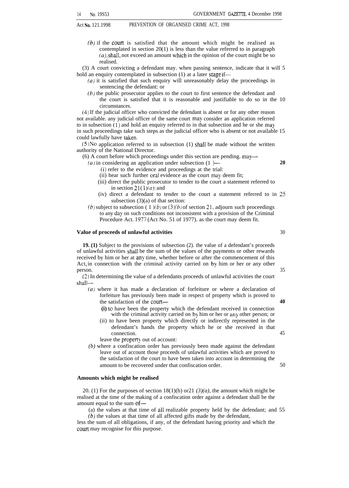#### Act No. 121.1998 PREVENTION OF ORGANISED CRIME ACT, 1998

*(b)* if the court is satisfied that the amount which might be realised as contemplated in section  $20(1)$  is less than the value referred to in paragraph *(a),* shaIl, not exceed an amount which in the opinion of the court might be so realised.

(3) A court convicting a defendant may. when passing sentence, indicate that it will 5 hold an enquiry contemplated in subsection (1) at a later stage if—

- *(a)* it is satisfied that such enquiry will unreasonably delay the proceedings in sentencing the defendant: or
- *(b)* the public prosecutor applies to the court to first sentence the defendant and the court is satisfied that it is reasonable and justifiable to do so in the 10 circumstances.

(4) If the judicial officer who convicted the defendant is absent or for any other reason not available. any judicial officer of the same court may consider an application referred to in subsection (1) and hold an enquiry referred to in that subsection and he or she may in such proceedings take such steps as the judicial officer who is absent or not available 15 could lawfully have taken.

 $(5)$  No application referred to in subsection  $(1)$  shall be made without the written authority of the National Director.

(6) A court before which proceedings under this section are pending. may—

- $(a)$  in considering an application under subsection  $(1)$ -
	- (i) refer to the evidence and proceedings at the trial:
	- (ii) hear such further oral evidence as the court may deem fit;
	- (iii) direct the public prosecutor to tender to the court a statement referred to in section  $21(1)(a)$ ; and
	- (iv) direct a defendant to tender to the court a statement referred to in 25 subsection  $(3)(a)$  of that section:
- *(b)* subject to subsection (1)*(b)* or  $(3)(b)$  of section 21. adjourn such proceedings to any day on such conditions not inconsistent with a provision of the Criminal Procedure Act. 1977 (Act No. 51 of 1977). as the court may deem fit.

### **Value of proceeds of unlawful activities** 30

**19. (1)** Subject to the provisions of subsection (2). the value of a defendant's proceeds of unlawful activities shall be the sum of the values of the payments or other rewards received by him or her at any time, whether before or after the commencement of this  $Act<sub>s</sub>$  in connection with the criminal activity carried on by him or her or any other person. 35

(2) In determining the value of a defendants proceeds of unlawful activities the court shall—

- $(a)$  where it has made a declaration of forfeiture or where a declaration of forfeiture has previously been made in respect of property which is proved to the satisfaction of the court— **40** 
	- **(i) to** have been the property which the defendant received in connection with the criminal activity carried on by him or her or any other person; or
	- (ii) to have been property which directly or indirectly represented in the defendant's hands the property which he or she received in that connection. 45

leave the property out of account:

*(b)* where a confiscation order has previously been made against the defendant leave out of account those proceeds of unlawful activities which are proved to the satisfaction of the court to have been taken into account in determining the amount to be recovered under that confiscation order. 50

### **Amounts which might be realised**

20. (1) For the purposes of section 18(1)(b) or21 *(3)(a),* the amount which might be realised at the time of the making of a confiscation order against a defendant shall be the amount equal to the sum of—

(a) the values at that time of all realizable property held by the defendant; and 55

*(b)* the values at that time of all affected gifts made by the defendant,

less the sum of all obligations, if any, of the defendant having priority and which the court may recognise for this purpose.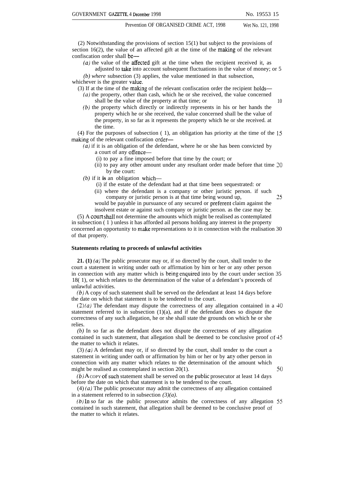Prevention OF ORGANISED CRIME ACT, 1998 Wet No. 121, 1998

(2) Notwithstanding the provisions of section 15(1) but subject to the provisions of section  $16(2)$ , the value of an affected gift at the time of the making of the relevant confiscation order shall be—

 $(a)$  the value of the affected gift at the time when the recipient received it, as adjusted to take into account subsequent fluctuations in the value of money; or  $5$ 

*(b) where* subsection (3) applies, the value mentioned in that subsection,

whichever is the greater value.

- $(3)$  If at the time of the making of the relevant confiscation order the recipient holds—
	- *(a)* the property, other than cash, which he or she received, the value concerned shall be the value of the property at that time; or 10
	- *(b)* the property which directly or indirectly represents in his or her hands the property which he or she received, the value concerned shall be the value of the property, in so far as it represents the property which he or she received. at the time.

(4) For the purposes of subsection  $(1)$ , an obligation has priority at the time of the 15 making of the relevant confiscation order—

*(a)* if it is an obligation of the defendant, where he or she has been convicted by a court of any offence—

(i) to pay a fine imposed before that time by the court; or

(ii) to pay any other amount under any resultant order made before that time 20 by the court:

*(b)* if it **is** an obligation which—

- (i) if the estate of the defendant had at that time been sequestrated: or
- (ii) where the defendant is a company or other juristic person. if such company or juristic person is at that time being wound up, 25

would be payable in pursuance of any secured or preferent claim against the insolvent estate or against such company or juristic person. as the case may be,  $(5)$  A court shall not determine the amounts which might be realised as contemplated

in subsection ( 1 ) unless it has afforded ail persons holding any interest in the property concerned an opportunity to make representations to it in connection with the realisation 30 of that property.

#### **Statements relating to proceeds of unlawful activities**

**21. (1)** *(a)* The public prosecutor may or, if so directed by the court, shall tender to the court a statement in writing under oath or affirmation by him or her or any other person in connection with any matter which is being enquired into by the court under section 35 18( 1), or which relates to the determination of the value of a defendant's proceeds of unlawful activities.

*(b)* A copy of such statement shall be served on the defendant at least 14 days before the date on which that statement is to be tendered to the court.

 $(2)(a)$  The defendant may dispute the correctness of any allegation contained in a 40 statement referred to in subsection  $(1)(a)$ , and if the defendant does so dispute the correctness of any such allegation, he or she shall state the grounds on which he or she relies.

*(b)* In so far as the defendant does not dispute the correctness of any allegation contained in such statement, that allegation shall be deemed to be conclusive proof of 45 the matter to which it relates.

 $(3)$  (a) A defendant may or, if so directed by the court, shall tender to the court a statement in writing under oath or affirmation by him or her or by any other person in connection with any matter which relates to the determination of the amount which might be realised as contemplated in section  $20(1)$ .  $50$ 

*(b) A* COPY of such statement shall be served on the public prosecutor at least 14 days before the date on which that statement is to be tendered to the court.

(4) (a) The public prosecutor may admit the correctness of any allegation contained in a statement referred to in subsection *(3)(a).*

 $(b)$  In so far as the public prosecutor admits the correctness of any allegation  $55$ contained in such statement, that allegation shall be deemed to be conclusive proof of the matter to which it relates.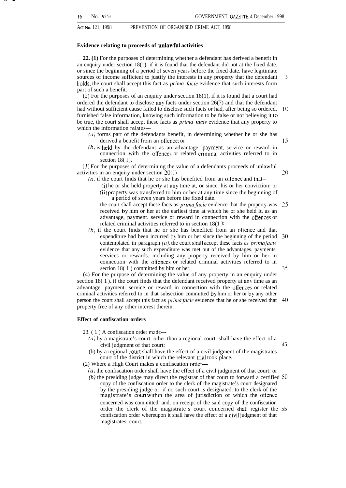### Act No. 121, 1998 PREVENTION OF ORGANISED CRIME ACT, 1998

### Evidence relating to proceeds of unlawful activities

**22. (1)** For the purposes of determining whether a defendant has derived a benefit in an enquiry under section 18(1). if it is found that the defendant did not at the fixed date. or since the beginning of a period of seven years before the fixed date. have legitimate sources of income sufficient to justify the interests in any property that the defendant holds, the court shall accept this fact as *prima facie* evidence that such interests form part of such a benefit. 5

(2) For the purposes of an enquiry under section 18(1), if it is found that a court had ordered the defendant to disclose any facts under section 26(7) and that the defendant had without sufficient cause failed to disclose such facts or had, after being so ordered. furnished false information, knowing such information to be false or not believing it to be true, the court shall accept these facts as *prima facie* evidence that any property to which the information relates— 10

- *(a)* forms part of the defendants benefit, in determining whether he or she has derived a benefit from an offence; or
- $(b)$  is held by the defendant as an advantage. payment, service or reward in connection with the offences or related criminal activities referred to in section 18(1).

(3) For the purposes of determining the value of a defendants proceeds of unlawful activities in an enquiry under section  $20(1)$ —

- $(a)$  if the court finds that he or she has benefited from an offence and that—
	- (i) he or she held property at any time at, or since. his or her conviction: or (ii) propefly was transferred to him or her at any time since the beginning of a period of seven years before the fixed date.

the court shall accept these facts as *prima facie* evidence that the property was 25 received by him or her at the earliest time at which he or she held it. as an advantage, payment. service or reward in connection with the offences or related criminal activities referred to in section 18(1 ):

 $(b)$  if the court finds that he or she has benefited from an offence and that expenditure had been incurred by him or her since the beginning of the period 30 contemplated in paragraph  $(a)$ , the court shall accept these facts as  $prime$  *facie* evidence that any such expenditure was met out of the advantages. payments. services or rewards. including any property received by him or her in connection with the offences or related criminal activities referred to in section 18(1) committed by him or her. 35

(4) For the purpose of determining the value of any property in an enquiry under section 18(1), if the court finds that the defendant received property at any time as an advantage. payment. service or reward in connection with the offences or related criminal activities referred to in that subsection committed by him or her or by any other person the court shall accept this fact as *prima,facie* evidence that he or she received that 40 property free of any other interest therein.

### **Effect of confiscation orders**

- 23. ( 1 ) A confiscation order made—
	- *(a)* by a magistrate's court. other than a regional court. shall have the effect of a civil judgment of that court: 45
	- (b) by a regional court shall have the effect of a civil judgment of the magistrates court of the district in which the relevant trial took place.

(2) Where a High Court makes a confiscation order—

 $(a)$  the confiscation order shall have the effect of a civil judgment of that court: or

*(b)* the presiding judge may direct the registrar of that court to forward a certified 50 copy of the confiscation order to the clerk of the magistrate's court designated by the presiding judge or. if no such court is designated. to the clerk of the magistrate's court within the area of jurisdiction of which the offence concerned was committed. and, on receipt of the said copy of the confiscation order the clerk of the magistrate's court concerned shall register the 55 confiscation order whereupon it shall have the effect of a civil judgment of that magistrates court.

]S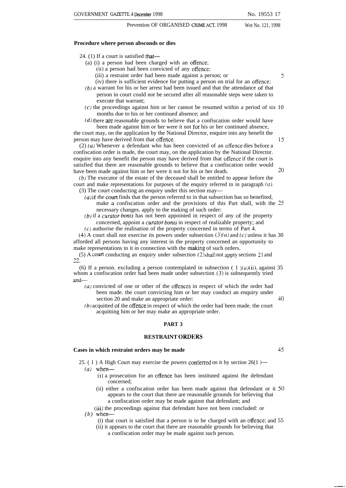### **Procedure where person absconds or dies**

24. (1) If a court is satisfied that—

- (a) (i) a person had been charged with an offence;
	- (ii) a person had been convicted of any offence:
	- $(iii)$  a restraint order had been made against a person; or  $\overline{5}$
	- (iv) there is sufficient evidence for putting a person on trial for an offence;
- (b) a warrant for his or her arrest had been issued and that the attendance of that person in court could not be secured after all reasonable steps were taken to execute that warrant;
- $(c)$  the proceedings against him or her cannot be resumed within a period of six 10 months due to his or her continued absence; and
- $(d)$  there are reasonable grounds to believe that a confiscation order would have been made against him or her were it not for his or her continued absence,

the court may, on the application by the National Director, enquire into any benefit the person may have derived from that offence. let us a line of the line of the line of the line of the line of the line of the line of the line of the line of the line of the line of the line of the line of the line of the li

(2) (a) Whenever a defendant who has been convicted of an offence dies before a confiscation order is made, the court may, on the application by the National Director. enquire into any benefit the person may have derived from that offence if the court is satisfied that there are reasonable grounds to believe that a confiscation order would have been made against him or her were it not for his or her death. <sup>20</sup>

*(b)* The executor of the estate of the deceased shall be entitled to appear before the court and make representations for purposes of the enquiry referred to in paragraph  $(a)$ .

- (3) The court conducting an enquiry under this section may—
	- *(a) if the* court finds that the person referred to in that subsection has so benefited, make a confiscation order and the provisions of this Part shall, with the 25 necessary changes. apply to the making of such order:
	- (b) if a *curator bonis* has not been appointed in respect of any of the property concerned, appoint a *curator bonis* in respect of realizable property; and
	- $(c)$  authorise the realisation of the property concerned in terms of Part 4.

(4) A court shall not exercise its powers under subsection  $(3)(a)$  and  $(c)$  unless it has 30 afforded all persons having any interest in the property concerned an opportunity to make representations to it in connection with the making of such orders.

(5) A court conducting an enquiry under subsection  $(2)$  shall not apply sections 21 and  $22$ 

(6) If a person. excluding a person contemplated in subsection (1)(a)(ii), against 35 whom a confiscation order had been made under subsection (3) is subsequently tried and—

- (a) convicted of one or other of the offences in respect of which the order had been made. the court convicting him or her may conduct an enquiry under section 20 and make an appropriate order: 40
- *(b)* acquitted of the offence in respect of which the order had been made. the court acquitting him or her may make an appropriate order.

### **PART 3**

### **RESTRAINT ORDERS**

### **Cases in which restraint orders may be made 45**

25. (1) A High Court may exercise the powers conferred on it by section  $26(1)$ —

- *(a)* when—
	- (i) a prosecution for an offence has been instituted against the defendant concerned;
	- (ii) either a confiscation order has been made against that defendant or it 50 appears to the court that there are reasonable grounds for believing that a confiscation order may be made against that defendant; and
	- (iii) the proceedings against that defendant have not been concluded: or

*(b)* when—

(i) that court is satisfied that a person is to be charged with an offence; and 55

(ii) it appears to the court that there are reasonable grounds for believing that a confiscation order may be made against such person.

-..—- .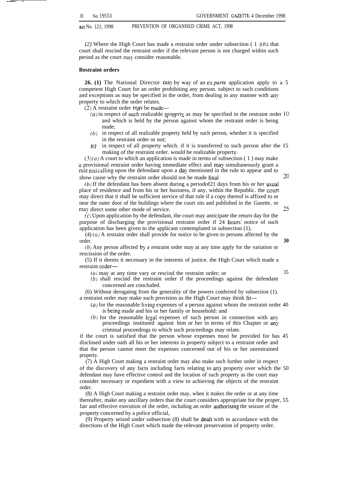\_—. -

Act No. 121, 1998 PREVENTION OF ORGANISED CRIME ACT, 1998

(2) Where the High Court has made a restraint order under subsection  $(1)(b)$ , that court shall rescind the restraint order if the relevant person is not charged within such period as the court may consider reasonable.

#### **Restraint orders**

**26. (1)** The National Director may by way of an ex *parte* application apply to a 5 competent High Court for an order prohibiting any person. subject to such conditions and exceptions as may be specified in the order, from dealing in any manner with any property to which the order relates.

(2) A restraint order mav be made—

- $(a)$  in respect of such realizable property as may be specified in the restraint order 10 and which is held by the person against whom the restraint order is being made;
- *(b)* in respect of all realizable property held by such person, whether it is specified in the restraint order or not;
- *(c)* in respect of all property which. if it is transferred to such person after the 15 making of the restraint order. would be realizable property.

 $(3)(a)$  A court to which an application is made in terms of subsection  $(1)$  may make a provisional restraint order having immediate effect and may simultaneously grant a rule nisi calling upon the defendant upon a day mentioned in the rule to appear and to show cause why the restraint order should not be made final.  $20$ 

*(b)* If the defendant has been absent during a periodof21 days from his or her usual place of residence and from his or her business, if any, within the Republic. the court may direct that it shall be sufficient service of that rule if a copy thereof is affixed to or near the outer door of the buildings where the court sits and published in the *Gazette,* or may direct some other mode of service. 25

(c) Upon application by the defendant, the court may anticipate the return day for the purpose of discharging the provisional restraint order if 24 hours' notice of such application has been given to the applicant contemplated in subsection (1).

(4) *(a)* A restraint order shall provide for notice to be given to persons affected by the order. **30**

*(b)* Any person affected by a restraint order may at any time apply for the variation or rescission of the order.

(5) If it deems it necessary in the interests of justice. the High Court which made a restraint order—

**(a)** may at any time vary or rescind the restraint order; or 35

*(b)* shall rescind the restraint order if the proceedings against the defendant concerned are concluded.

(6) Without derogating from the generality of the powers conferred by subsection (1). a restraint order may make such provision as the High Court may think fit—

- **(a)** for the reasonable living expenses of a person against whom the restraint order 40 is being made and his or her family or household: and
- *(b)* for the reasonable legal expenses of such person in connection with any proceedings instituted against him or her in terms of this Chapter or anY criminal proceedings to which such proceedings may relate.

if the court is satisfied that the person whose expenses must be provided for has 45 disclosed under oath all his or her interests in property subject to a restraint order and that the person cannot meet the expenses concerned out of his or her unrestrained property.

(7) A High Court making a restraint order may also make such further order in respect of the discovery of any facts including facts relating to any property over which the 50 defendant may have effective control and the location of such property as the court may consider necessary or expedient with a view to achieving the objects of the restraint order.

(8) A High Court making a restraint order may, when it makes the order or at any time thereafter, make any ancillary orders that the court considers appropriate for the proper, 55 fair and effective execution of the order, including an order authorising the seizure of the property concerned by a police official,

(9) Property seized under subsection (8) shall be dedt with in accordance with the directions of the High Court which made the relevant preservation of property order.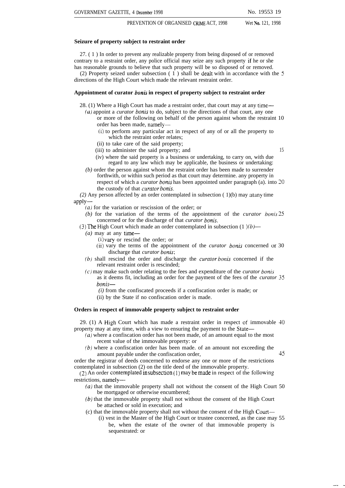### **Seizure of property subject to restraint order**

27. ( 1 ) In order to prevent any realizable property from being disposed of or removed contrary to a restraint order, any police official may seize any such property if he or she has reasonable grounds to believe that such property will be so disposed of or removed.

(2) Property seized under subsection  $(1)$  shall be dealt with in accordance with the 5 directions of the High Court which made the relevant restraint order.

### **Appointment of curator bortis in respect of property subject to restraint order**

28. (1) Where a High Court has made a restraint order, that court may at any time—

- (a) appoint a *curator bonis* to do, subject to the directions of that court, any one or more of the following on behalf of the person against whom the restraint 10 order has been made, namely—
	- (i) to perform any particular act in respect of any of or all the property to which the restraint order relates;
	- (ii) to take care of the said property;
	- (iii) to administer the said property; and 15

—. .

- (iv) where the said property is a business or undertaking, to carry on, with due regard to any law which may be applicable, the business or undertaking:
- *(b)* order the person against whom the restraint order has been made to surrender forthwith, or within such period as that court may determine. any property in respect of which a *curator bonis* has been appointed under paragraph (a). into 20 the custody of that *curator bonis*.

*(2)* Any person affected by an order contemplated in subsection ( 1)(b) may at any time apply—

- *(a)* for the variation or rescission of the order; or
- *(b)* for the variation of the terms of the appointment of the *curator bonis ?j* concerned or for the discharge of that *curator bonis.*
- (3) The High Court which made an order contemplated in subsection  $(1)$   $(b)$ 
	- *(a)* may at any time—
		- ~!) vary or rescind the order; or
		- (11) vary the terms of the appointment of the *curator bonis* concerned or 30 discharge that *curator bonis:*
	- *(b)* shall rescind the order and discharge the *cllrator bonis* concerned if the relevant restraint order is rescinded;
	- (c) may make such order relating to the fees and expenditure of the *curator bonis* as it deems fit, including an order for the payment of the fees of the *curator 3j bonis—*

*(i)* from the confiscated proceeds if a confiscation order is made; or

(ii) by the State if no confiscation order is made.

### **Orders in respect of immovable property subject to restraint order**

29. (1) A High Court which has made a restraint order in respect of immovable 40 property may at any time, with a view to ensuring the payment to the State—

- $(a)$  where a confiscation order has not been made, of an amount equal to the most recent value of the immovable property: or
- *(b)* where a confiscation order has been made. of an amount not exceeding the amount payable under the confiscation order,  $45$

order the registrar of deeds concerned to endorse any one or more of the restrictions contemplated in subsection (2) on the title deed of the immovable property.

(2) An order contemplated in subsection (1) may be made in respect of the following restrictions, namely—

- *(a)* that the immovable property shall not without the consent of the High Court 50 be mortgaged or otherwise encumbered;
- *(b)* that the immovable property shall not without the consent of the High Court be attached or sold in execution; and
- (c) that the immovable property shall not without the consent of the High Court—
	- (i) vest in the Master of the High Court or trustee concerned, as the case may 55 be, when the estate of the owner of that immovable property is sequestrated: or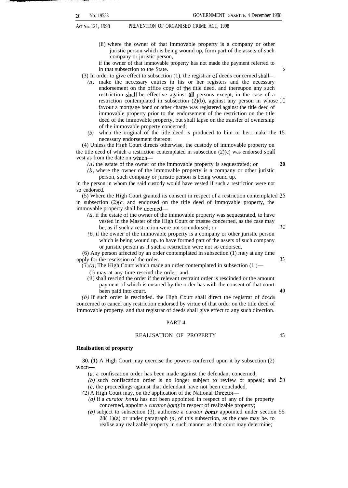Act **No.** 121, 1998 PREVENTION OF ORGANISED CRIME ACT, 1998

(ii) where the owner of that immovable property is a company or other juristic person which is being wound up, form part of the assets of such company or juristic person,

if the owner of that immovable property has not made the payment referred to in that subsection to the State. 5

### (3) In order to give effect to subsection (1), the registrar of deeds concerned shall—

- $\alpha$  make the necessary entries in his or her registers and the necessary endorsement on the office copy of the title deed, and thereupon any such restriction shall be effective against all persons except, in the case of a restriction contemplated in subsection  $(2)(b)$ , against any person in whose 10 favour a mortgage bond or other charge was registered against the title deed of immovable property prior to the endorsement of the restriction on the title deed of the immovable property, but shall lapse on the transfer of ownership of the immovable property concerned;
- *(b)* when the original of the title deed is produced to him or her, make the 15 necessary endorsement thereon.

(4) Unless the High Court directs otherwise, the custody of immovable property on the title deed of which a restriction contemplated in subsection (2)(c) was endorsed shall vest as from the date on which—

- (a) the estate of the owner of the immovable property is sequestrated; or **20** *(b)* where the owner of the immovable property is a company or other juristic
	- person, such company or juristic person is being wound up.

in the person in whom the said custody would have vested if such a restriction were not so endorsed.

(5) Where the High Court granted its consent in respect of a restriction contemplated 25 in subsection  $(2)(c)$  and endorsed on the title deed of immovable property, the immovable property shall be deemed—

- *(a)* if the estate of the owner of the immovable property was sequestrated, to have vested in the Master of the High Court or trustee concerned, as the case may be, as if such a restriction were not so endorsed; or 30
	-
- *(b)* if the owner of the immovable property is a company or other juristic person which is being wound up. to have formed part of the assets of such company or juristic person as if such a restriction were not so endorsed.

(6) Any person affected by an order contemplated in subsection (1) may at any time apply for the rescission of the order. 35

- $(7)(a)$  The High Court which made an order contemplated in subsection  $(1)$ 
	- (i) may at any time rescind the order; and
	- (ii) shall rescind the order if the relevant restraint order is rescinded or the amount payment of which is ensured by the order has with the consent of that court been paid into court. **40**

*(b)* If such order is rescinded, the High Court shall direct the registrar of deeds concerned to cancel any restriction endorsed by virtue of that order on the title deed of immovable property. and that registrar of deeds shall give effect to any such direction.

#### PART 4

#### REALISATION OF PROPERTY 45

### **Realisation of property**

**30. (1)** A High Court may exercise the powers conferred upon it by subsection (2) when—

*(a)* a confiscation order has been made against the defendant concerned;

 $(b)$  such confiscation order is no longer subject to review or appeal; and  $50$ 

(c) the proceedings against that defendant have not been concluded.

- (2) A High Court may, on the application of the National Director—
	- *(a)* if a *curator bonis* has not been appointed in respect of any of the property concerned, appoint a *curator bonis* in respect of realizable property;
	- *(b)* subject to subsection (3), authorise a *curator bonis* appointed under section 55 28( 1)(a) or under paragraph *(a)* of this subsection, as the case may be. to realise any realizable property in such manner as that court may determine;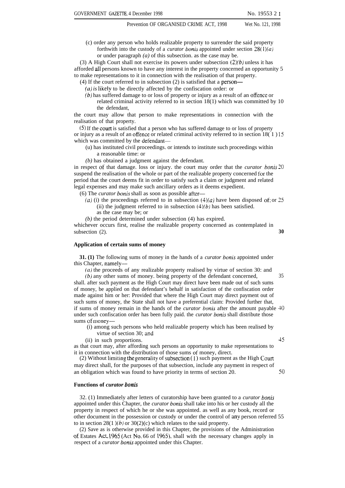### Prevention OF ORGANISED CRIME ACT, 1998 Wet No. 121, 1998

(c) order any person who holds realizable property to surrender the said property forthwith into the custody of a *curator bonis* appointed under section  $28(1)(a)$ or under paragraph *(a)* of this subsection. as the case may be.

(3) A High Court shall not exercise its powers under subsection *(2)(b)* unless it has afforded all persons known to have any interest in the property concerned an opportunity 5 to make representations to it in connection with the realisation of that property.

- (4) If the court referred to in subsection (2) is satisfied that a person—
	- *(a) is* likely to be directly affected by the confiscation order: or
	- *(b)* has suffered damage to or loss of property or injury as a result of an offence or related criminal activity referred to in section 18(1) which was committed by 10 the defendant,

the court may allow that person to make representations in connection with the realisation of that property.

(5) If the COUrt is satisfied that a person who has suffered damage to or loss of property or injury as a result of an offence or related criminal activity referred to in section  $18(1)$  [5] which was committed by the defendant—

- (u) has instituted civil proceedings. or intends to institute such proceedings within a reasonable time: or
- *(b)* has obtained a judgment against the defendant.

in respect of that damage. loss or injury. the court may order that the *curator bonis 20* suspend the realisation of the whole or part of the realizable property concerned for the period that the court deems fit in order to satisfy such a claim or judgment and related legal expenses and may make such ancillary orders as it deems expedient.

(6) The *curator bonis* shall as soon as possible after—

- (a) (i) the proceedings referred to in subsection  $(4)(a)$  have been disposed of; or 25 (ii) the judgment referred to in subsection  $(4)(b)$  has been satisfied. as the case may be; or
- *(b)* the period determined under subsection (4) has expired.

whichever occurs first, realise the realizable property concerned as contemplated in subsection (2). **30** 

### **Application of certain sums of money**

**31. (1)** The following sums of money in the hands of a *curator bonis* appointed under this Chapter, namely—

*(a)* the proceeds of any realizable property realised by virtue of section 30: and

*(b)* any other sums of money. being property of the defendant concerned, 35 shall. after such payment as the High Court may direct have been made out of such sums of money, be applied on that defendant's behalf in satisfaction of the confiscation order made against him or her: Provided that where the High Court may direct payment out of such sums of money, the State shall not have a preferential claim: Provided further that, if sums of money remain in the hands of the *curator bonis* after the amount payable 40 under such confiscation order has been fully paid. the *curator bonis* shall distribute those sums of money—

- (i) among such persons who held realizable property which has been realised by virtue of section 30; and
- $(i)$  in such proportions.  $45$

as that court may, after affording such persons an opportunity to make representations to it in connection with the distribution of those sums of money, direct.

(2) Without limiting the generality of subsection  $(1)$  such payment as the High Court may direct shall, for the purposes of that subsection, include any payment in respect of an obligation which was found to have priority in terms of section  $20$ .  $50$ 

### **Functions of** *curator bonis*

32. (1) Immediately after letters of curatorship have been granted to a *curator bonis* appointed under this Chapter, the *curator bonis* shall take into his or her custody all the property in respect of which he or she was appointed. as well as any book, record or other document in the possession or custody or under the control of any person referred 55 to in section  $28(1)/(b)$  or  $30(2)(c)$  which relates to the said property.

(2) Save as is otherwise provided in this Chapter, the provisions of the Administration of Estates Act, 1965 (Act No. 66 of 1965), shall with the necessary changes apply in respect of a *curator bonis* appointed under this Chapter.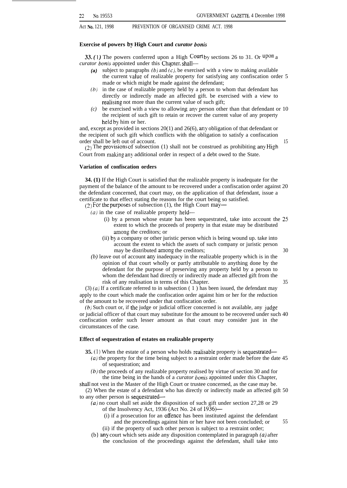### **Exercise of powers by High Court and** *curator bonis*

33. (1) The powers conferred upon a High Court by sections 26 to 31. Or upon a *curator bonis* appointed under this Chapter. shall—

- (a) subject to paragraphs  $(b)$  and  $(c)$ , be exercised with a view to making available the current value of realizable property for satisfying any confiscation order 5 made or which might be made against the defendant;
- *(b)* in the case of realizable property held by a person to whom that defendant has directly or indirectly made an affected gift. be exercised with a view to realising not more than the current value of such gift;
- realising not more than the current value of such gift;<br>  $(c)$  be exercised with a view to allowing any person other than that defendant or 10<br>
the recision of such gift to rate as receiver the current value of any propert the recipient of such gift to retain or recover the current value of any property held by him or her.

and, except as provided in sections 20(1) and 26(6), any obligation of that defendant or the recipient of such gift which conflicts with the obligation to satisfy a confiscation order shall be left out of account. 15

 $(2)$  The provisions of subsection (1) shall not be construed as prohibiting any High Court from making any additional order in respect of a debt owed to the State.

#### **Variation of confiscation orders**

**34. (1)** If the High Court is satisfied that the realizable property is inadequate for the payment of the balance of the amount to be recovered under a confiscation order against 20 the defendant concerned, that court may, on the application of that defendant, issue a certificate to that effect stating the reasons for the court being so satisfied. (2) For the purposes of subsection (1), the High Court may—

- *(a}* in the case of realizable property held—
	- (i) by a person whose estate has been sequestrated, take into account the 25 extent to which the proceeds of property in that estate may be distributed among the creditors; or
	- (ii) by a company or other juristic person which is being wound up. take into account the extent to which the assets of such company or juristic person may be distributed among the creditors; 30
		-
- *(b)* leave out of account any inadequacy in the realizable property which is in the opinion of that court wholly or partly attributable to anything done by the defendant for the purpose of preserving any property held by a person to whom the defendant had directly or indirectly made an affected gift from the risk of any realisation in terms of this Chapter. 35

(3)  $(a)$  If a certificate referred to in subsection (1) has been issued, the defendant may apply to the court which made the confiscation order against him or her for the reduction of the amount to be recovered under that confiscation order.

(b) Such court or, if the judge or judicial officer concerned is not available, any judge or judicial officer of that court may substitute for the amount to be recovered under such 40 confiscation order such lesser amount as that court may consider just in the circumstances of the case.

#### **Effect of sequestration of estates on realizable property**

**35.** (1) When the estate of a person who holds realisable property is sequestrated—

- *(a)* the property for the time being subject to a restraint order made before the date 45 of sequestration; and
- *(b)* the proceeds of any realizable property realised by virtue of section 30 and for the time being in the hands of a *curator bonis* appointed under this Chapter,

shall not vest in the Master of the High Court or trustee concerned, as the case may be. (2) When the estate of a defendant who has directly or indirectly made an affected gift 50 to any other person is sequestrated—

- *(a)* no court shall set aside the disposition of such gift under section 27,28 or 29 of the Insolvency Act, 1936 (Act No. 24 of 1936)—
	- (i) if a prosecution for an offence has been instituted against the defendant and the proceedings against him or her have not been concluded; or 55 (ii) if the property of such other person is subject to a restraint order;
- (b} any court which sets aside any disposition contemplated in paragraph **(a)** after the conclusion of the proceedings against the defendant, shall take into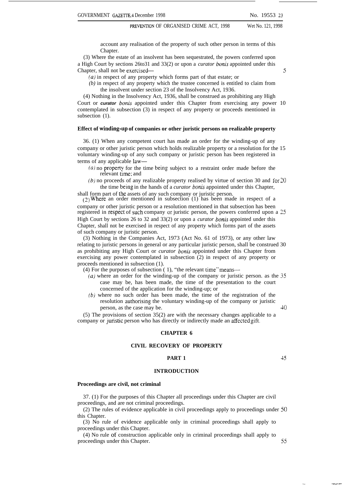account any realisation of the property of such other person in terms of this Chapter.

(3) Where the estate of an insolvent has been sequestrated, the powers conferred upon a High Court by sections 26to31 and 33(2) or upon a *curator bonis* appointed under this Chapter, shall not be exercised— just a series of the state of  $\sim$  5

*(a)* in respect of any property which forms part of that estate; or

*(b)* in respect of any property which the trustee concerned is entitled to claim from the insolvent under section 23 of the Insolvency Act, 1936.

(4) Nothing in the Insolvency Act, 1936, shall be construed as prohibiting any High Court or **curator** *bonis* appointed under this Chapter from exercising any power 10 contemplated in subsection (3) in respect of any property or proceeds mentioned in subsection  $(1)$ .

### **Effect of tinding-up of companies or other juristic persons on realizable property**

36. (1) When any competent court has made an order for the winding-up of any company or other juristic person which holds realizable property or a resolution for the 15 voluntary winding-up of any such company or juristic person has been registered in terms of any applicable law—

 $(a)$  no property for the time being subject to a restraint order made before the relevant time: and

*(b)* no proceeds of any realizable property realised by virtue of section 30 and for 20 the time being in the hands of a *curator bonis* appointed under this Chapter,

shall form part of the assets of any such company or juristic person.  $(2)$  Where an order mentioned in subsection  $(1)$  has been made in respect of a

company or other juristic person or a resolution mentioned in that subsection has been registered in respect of such company or juristic person, the powers conferred upon a 25 High Court by sections 26 to 32 and 33(2) or upon a *curator bonis* appointed under this Chapter, shall not be exercised in respect of any property which forms part of the assets of such company or juristic person.

(3) Nothing in the Companies Act, 1973 (Act No. 61 of 1973), or any other law relating to juristic persons in general or any particular juristic person, shall be construed 30 as prohibiting any High Court or *curator bonis* appointed under this Chapter from exercising any power contemplated in subsection (2) in respect of any property or proceeds mentioned in subsection (1).

 $(4)$  For the purposes of subsection  $(1)$ , "the relevant time" means—

- *(a)* where an order for the winding-up of the company or juristic person. as the 35 case may be, has been made, the time of the presentation to the court concerned of the application for the winding-up; or
- *(b)* where no such order has been made, the time of the registration of the resolution authorising the voluntary winding-up of the company or juristic person, as the case may be.  $40$

(5) The provisions of section 35(2) are with the necessary changes applicable to a company or juristic person who has directly or indirectly made an affected gift.

### **CHAPTER 6**

### **CIVIL RECOVERY OF PROPERTY**

### **PART 1**

45

. . \_\_\_\_

### **INTRODUCTION**

### **Proceedings are civil, not criminal**

37. (1) For the purposes of this Chapter all proceedings under this Chapter are civil proceedings, and are not criminal proceedings.

(2) The rules of evidence applicable in civil proceedings apply to proceedings under  $50$ this Chapter.

(3) No rule of evidence applicable only in criminal proceedings shall apply to proceedings under this Chapter.

(4) No rule of construction applicable only in criminal proceedings shall apply to proceedings under this Chapter. jj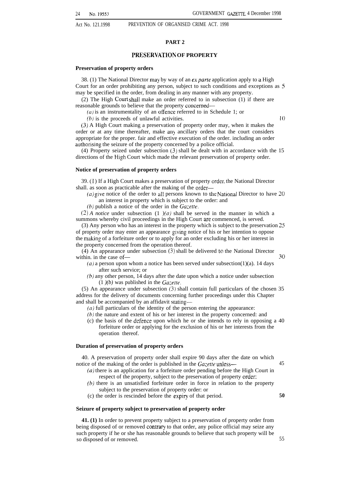### Act No. 121.1998 PREVENTION OF ORGANISED CRIME ACT. 1998

### **PART 2**

### **PRESERVATION OF PROPERTY**

### **Preservation of property orders**

38. (1) The National Director may by way of an ex *parte* application apply to a High Court for an order prohibiting any person, subject to such conditions and exceptions as 5 may be specified in the order, from dealing in any manner with any property.

(2) The High Court shall make an order referred to in subsection (1) if there are reasonable grounds to believe that the property concemed—

*(a)* is an instrumentality of an offence referred to in Schedule 1; or

 $(b)$  is the proceeds of unlawful activities.  $1()$ 

(3) A High Court making a preservation of property order may, when it makes the order or at any time thereafter, make any ancillary orders that the court considers appropriate for the proper. fair and effective execution of the order. including an order authonsing the seizure of the property concerned by a police official.

(4) Property seized under subsection (3) shall be dealt with in accordance with the 15 directions of the High Court which made the relevant preservation of property order.

### **Notice of preservation of property orders**

39. ( 1 ) If a High Court makes a preservation of property order. the National Director shall. as soon as practicable after the making of the order—

(a) give notice of the order to all persons known to the National Director to have  $20$ an interest in property which is subject to the order: and

 $(b)$  publish a notice of the order in the *Gazette*.

 $(2)$  *A notice* under subsection  $(1)$   $(a)$  shall be served in the manner in which a summons whereby civil proceedings in the High Court are commenced, is served.

(3) Any person who has an interest in the property which is subject to the preservation 25 of property order may enter an appearance giving notice of his or her intention to oppose the making of a forfeiture order or to apply for an order excluding his or her interest in the property concerned from the operation thereof.

(4) An appearance under subsection (3) shall be delivered to the National Director within. in the case of — 30

 $(a)$  a person upon whom a notice has been served under subsection(1)(a). 14 days after such service; or

 $(b)$  any other person, 14 days after the date upon which a notice under subsection (1 *)(b)* was published in the *Gazette.*

(5) An appearance under subsection (3) shall contain full particulars of the chosen 35 address for the delivery of documents concerning further proceedings under this Chapter and shall be accompanied by an affidavit stating—

*(a)* full particulars of the identity of the person entering the appearance:

- *(b)* the nature and extent of his or her interest in the property concerned: and
- (c) the basis of the defence upon which he or she intends to rely in opposing a 40 forfeiture order or applying for the exclusion of his or her interests from the operation thereof.

### **Duration of preservation of property orders**

40. A preservation of property order shall expire 90 days after the date on which notice of the making of the order is published in the *Gazette* unless— 45

- *(a)* there is an application for a forfeiture order pending before the High Court in respect of the property, subject to the preservation of property order:
- *(b)* there is an unsatisfied forfeiture order in force in relation to the property subject to the preservation of property order: or

(c) the order is rescinded before the expiry of that period. **50**

#### **Seizure of property subject to preservation of property order**

**41. (1)** In order to prevent property subject to a preservation of property order from being disposed of or removed contrary to that order, any police official may seize any such property if he or she has reasonable grounds to believe that such property will be so disposed of or removed. 55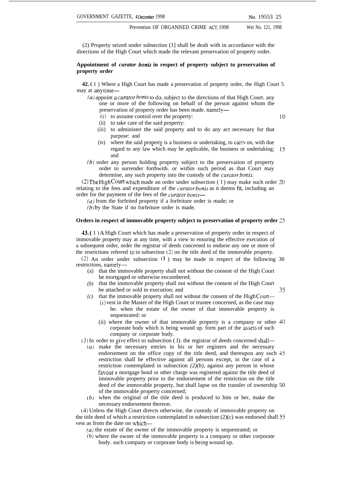Prevention OF ORGANISED CRIME ACT, 1998 Wet No. 121, 1998

(2) Property seized under subsection (1] shall be dealt with in accordance with the directions of the High Court which made the relevant preservation of property order.

### **Appointment of** *curator bonis* **in respect of property subject to preservation of property order**

**42. (** 1 ) Where a High Court has made a preservation of property order, the High Court 5 may at any time—

**(a)** appoint a curator bonis to do, subject to the directions of that High Court. any one or more of the following on behalf of the person against whom the preservation of property order has been made. namely—

- $(i)$  to assume control over the property:  $[0]$
- (ii) to take care of the said property:
- (iii) to administer the said property and to do any act necessary for that purpose: and
- $(iv)$ where the said property is a business or undertaking, to carry on, with due regard to any law which may be applicable, the business or undertaking; 15 and
- *(b)* order any person holding property subject to the preservation of property order to surrender forthwith. or within such period as that Court may determine, any such property into the custody of the *curator bonis*.

*(2) The High* court which made an order under subsection ( 1 ) may make such order 20 relating to the fees and expenditure of the *curaror bonjs* as it deems fit, including an order for the payment of the fees of the *c[{rator bonis—*

*(a)* from the forfeited property if a forfeiture order is made; or

*(b)* by the State if no forfeiture order is made.

#### **Orders in respect of immovable property subject to preservation of property order 25**

**43. (** 1 ) A High Court which has made a preservation of property order in respect of immovable property may at any time, with a view to ensuring the effective execution of a subsequent order, order the registrar of deeds concerned to endorse any one or more of the restrictions referred to in subsection (2) on the title deed of the immovable property.

(2) An order under subsection  $(1)$  may be made in respect of the following 30 restrictions, namely—

- (a) that the immovable property shall not without the consent of the High Court be mortgaged or otherwise encumbered;
- *(b)* that the immovable property shall not without the consent of the High Court be attached or sold in execution; and  $35$
- *(c)* that the immovable property shall not without the consent of the High Court—
	- (i] vest in the Master of the High Court or trustee concerned, as the case may be. when the estate of the owner of that immovable property is sequestrated: or
	- (ii) where the owner of that immovable property is a company or other 40 corporate body which is being wound up. form part of the assets of such company or corporate body.

[3) In order to give effect to subsection ( I). the registrar of deeds concerned shall—

- (a) make the necessary entries in his or her registers and the necessary endorsement on the office copy of the title deed, and thereupon any such 45 restriction shall be effective against all persons except, in the case of a restriction contemplated in subsection *(2)(b)*, against any person in whose favour a mortgage bond or other charge was registered against the title deed of immovable property prior to the endorsement of the restriction on the title deed of the immovable property, but shall lapse on the transfer of ownership 50 of the immovable property concerned;
- *(bj* when the original of the title deed is produced to him or her, make the necessary endorsement thereon.

(4) Unless the High Court directs otherwise, the custody of immovable property on the title deed of which a restriction contemplated in subsection  $(2)(c)$  was endorsed shall 55 vest as from the date on which—

- $(a)$  the estate of the owner of the immovable property is sequestrated; or
- *(b)* where the owner of the immovable property is a company or other corporate body. such company or corporate body is being wound up.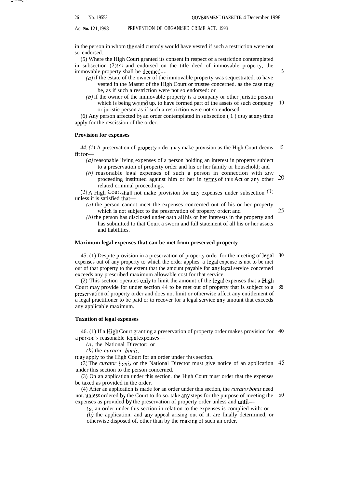|     | No. 19553 |  |
|-----|-----------|--|
| -26 |           |  |

5

Act No. 121,1998 PREVENTION OF ORGANISED CRIME ACT. 1998

in the person in whom the said custody would have vested if such a restriction were not so endorsed.

(5) Where the High Court granted its consent in respect of a restriction contemplated in subsection  $(2)(c)$  and endorsed on the title deed of immovable property, the immovable property shall be deemed—

- $(a)$  if the estate of the owner of the immovable property was sequestrated. to have vested in the Master of the High Court or trustee concerned. as the case may be, as if such a restriction were not so endorsed: or
- $(b)$  if the owner of the immovable property is a company or other juristic person which is being wound up. to have formed part of the assets of such company or juristic person as if such a restriction were not so endorsed. 10

(6) Any person affected by an order contemplated in subsection ( 1 ) may at any time apply for the rescission of the order.

### **Provision for expenses**

44. (1) A preservation of property order may make provision as the High Court deems 15 fit for—

- *(a)* reasonable living expenses of a person holding an interest in property subject to a preservation of property order and his or her family or household; and
- *(b)* reasonable legal expenses of such a person in connection with any proceeding instituted against him or her in terms of this Act or any other  $20$ related criminal proceedings.

(2) A High Court shall not make provision for any expenses under subsection  $(1)$ unless it is satisfied that—

- *(a)* the person cannot meet the expenses concerned out of his or her property which is not subject to the preservation of property order: and 25
- (b) the person has disclosed under oath all his or her interests in the property and has submitted to that Court a sworn and full statement of all his or her assets and liabilities.

### **Maximum legal expenses that can be met from preserved property**

45. (1) Despite provision in a preservation of property order for the meeting of legal **30** expenses out of any property to which the order applies. a legal expense is not to be met out of that property to the extent that the amount payable for any legal service concerned exceeds any prescribed maximum allowable cost for that service.

(2) This section operates only to limit the amount of the legal expenses that a High Court may provide for under section 44 to be met out of property that is subject to a **35** preservation of property order and does not limit or otherwise affect any entitlement of a legal practitioner to be paid or to recover for a legal service any amount that exceeds any applicable maximum.

### **Taxation of legal expenses**

46. (1) If a High Court granting a preservation of property order makes provision for **40** a person's reasonable legal expenses—

*(a)* the National Director: or

*(b)* the *curator bonis.*

may apply to the High Court for an order under this section.

(2) The *curator bonis* or the National Director must give notice of an application **45** under this section to the person concerned.

(3) On an application under this section. the High Court must order that the expenses be taxed as provided in the order.

(4) After an application is made for an order under this section, the *curator bonis* need not. unless ordered by the Court to do so. take any steps for the purpose of meeting the 50expenses as provided by the preservation of property order unless and until—

**(a)** an order under this section in relation to the expenses is complied with: or

*(b)* the application. and any appeal arising out of it. are finally determined, or otherwise disposed of. other than by the making of such an order.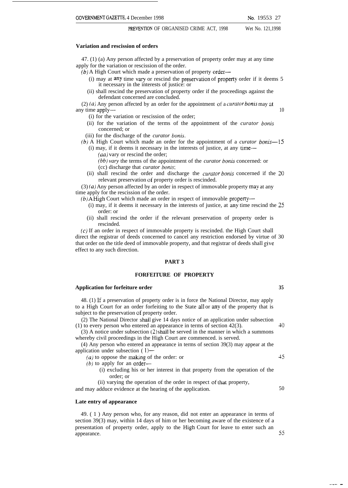### **Variation and rescission of orders**

47. (1) (a) Any person affected by a preservation of property order may at any time apply for the variation or rescission of the order.

(b) A High Court which made a preservation of property order—

- (i) may at any time vary or rescind the preservation of property order if it deems  $5$ it necessary in the interests of justice: or
- (ii) shall rescind the preservation of property order if the proceedings against the defendant concerned are concluded.

(2) (a) Any person affected by an order for the appointment of a *curator bonis* may at any time apply— 10

- (i) for the variation or rescission of the order;
- (ii) for the variation of the terms of the appointment of the *curator bonis* concerned; or
- (iii) for the discharge of the *curator bonis.*

*(b)* A High Court which made an order for the appointment of a *curator bonis— <sup>1</sup> j* (i) may, if it deems it necessary in the interests of justice, at any time—

 $(aa)$  vary or rescind the order;

*(bb) vary* the terms of the appointment of the *curator bonis* concerned: or

- (cc) discharge that *curator bonis;*
- (ii) shall rescind the order and discharge the *curator bonis* concerned if the 20 relevant preservation of property order is rescinded.

(3) **(a)** Any person affected by an order in respect of immovable property may at any time apply for the rescission of the order.

*(b) A* High Court which made an order in respect of immovable property—

- (i) may, if it deems it necessary in the interests of justice, at any time rescind the 25 order: or
- (ii) shall rescind the order if the relevant preservation of property order is rescinded.

(c) If an order in respect of immovable property is rescinded. the High Court shall direct the registrar of deeds concerned to cancel any restriction endorsed by virtue of 30 that order on the title deed of immovable property, and that registrar of deeds shall give effect to any such direction.

### **PART 3**

### **FORFEITURE OF PROPERTY**

### **Application for forfeiture order 35**

48. (1) If a preservation of property order is in force the National Director, may apply to a High Court for an order forfeiting to the State all or any of the property that is subject to the preservation of property order.

(2) The National Director shall give 14 days notice of an application under subsection (1) to every person who entered an appearance in terms of section  $42(3)$ .  $40$ 

(3) A notice under subsection (2) shall be served in the manner in which a summons whereby civil proceedings in the High Court are commenced. is served.

(4) Any person who entered an appearance in terms of section 39(3) may appear at the application under subsection  $(1)$ -

 $(a)$  to oppose the making of the order: or  $45$ 

*(b)* to apply for an order—

- (i) excluding his or her interest in that property from the operation of the order; or
- (ii) varying the operation of the order in respect of that property,

and may adduce evidence at the hearing of the application. 50

### **Late entry of appearance**

49. ( 1 ) Any person who, for any reason, did not enter an appearance in terms of section 39(3) may, within 14 days of him or her becoming aware of the existence of a presentation of property order, apply to the High Court for leave to enter such an  $appearance.$  55

----- —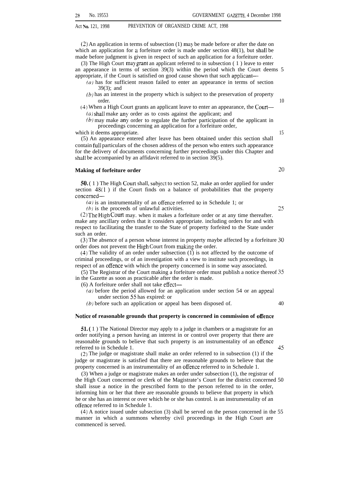#### Act **No.** 121, 1998 PREVENTION OF ORGANISED CRIME ACT, 1998

(2) An application in terms of subsection (1) may be made before or after the date on which an application for a forfeiture order is made under section 48(1), but shall be made before judgment is given in respect of such an application for a forfeiture order.

(3) The High Court may grant an applicant referred to in subsection ( 1 ) leave to enter an appearance in terms of section 39(3) within the period which the Court deems 5 appropriate, if the Court is satisfied on good cause shown that such applicant—

*(a)* has for sufficient reason failed to enter an appearance in terms of section 39(3); and

 $(b)$  has an interest in the property which is subject to the preservation of property order. 10

(4) When a High Court grants an applicant leave to enter an appearance, the Court—

 $(a)$ shall make any order as to costs against the applicant; and

(b) may make any order to regulate the further participation of the applicant in proceedings concerning an application for a forfeiture order,

which it deems appropriate. 15

(5) An appearance entered after leave has been obtained under this section shall contain full particulars of the chosen address of the person who enters such appearance for the delivery of documents concerning further proceedings under this Chapter and shall be accompanied by an affidavit referred to in section 39(5).

### **Making of forfeiture order**  $20$

 $50.$  ( 1 ) The High Court shall, subject to section 52, make an order applied for under section  $48(1)$  if the Court finds on a balance of probabilities that the property concerned—

(*a*) is an instrumentality of an offence referred to in Schedule 1; or

 $(b)$  is the proceeds of unlawful activities. 25

(2) The High Court may. when it makes a forfeiture order or at any time thereafter. make any ancillary orders that it considers appropriate. including orders for and with respect to facilitating the transfer to the State of property forfeited to the State under such an order.

(3) The absence of a person whose interest in property maybe affected by a forfeiture 30 order does not prevent the High Court from making the order.

(4) The validity of an order under subsection (1) is not affected by the outcome of criminal proceedings, or of an investigation with a view to institute such proceedings, in respect of an offence with which the property concerned is in some way associated.

(5) The Registrar of the Court making a forfeiture order must publish a notice thereof 35 in the Gazette as soon as practicable after the order is made.

(6) A forfeiture order shall not take effect—

*(a)* before the period allowed for an application under section 54 or an appeal under section 55 has expired: or

(b) before such an application or appeal has been disposed of. 40

#### Notice **of reasonable grounds that property is concerned in commission of offence**

**51.** ( 1 ) The National Director may apply to a judge in chambers or a magistrate for an order notifying a person having an interest in or control over property that there are reasonable grounds to believe that such property is an instrumentality of an offence referred to in Schedule 1. 45

(2) The judge or magistrate shall make an order referred to in subsection (1) if the judge or magistrate is satisfied that there are reasonable grounds to believe that the property concerned is an instrumentality of an offence referred to in Schedule 1.

(3) When a judge or magistrate makes an order under subsection (1), the registrar of the High Court concerned or clerk of the Magistrate's Court for the district concerned 50 shall issue a notice in the prescribed form to the person referred to in the order, informing him or her that there are reasonable grounds to believe that property in which he or she has an interest or over which he or she has control. is an instrumentality of an offence referred to in Schedule 1.

(4) A notice issued under subsection (3) shall be served on the person concerned in the 55 manner in which a summons whereby civil proceedings in the High Court are commenced is served.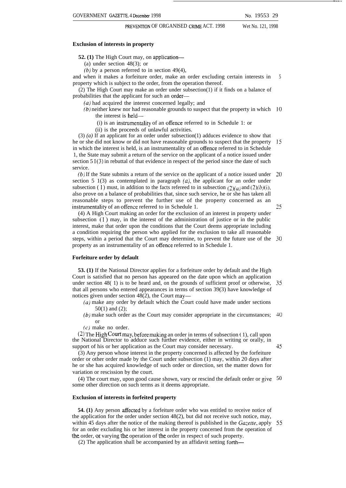.. . . .

PREVENTION OF ORGANISED CRIME ACT. 1998 Wet No. 121, 1998

### **Exclusion of interests in property**

**52. (1)** The High Court may, on application—

(a) under section 48(3); or

(b) by a person referred to in section 49(4),

and when it makes a forfeiture order, make an order excluding certain interests in property which is subject to the order, from the operation thereof. 5

(2) The High Court may make an order under subsection(1) if it finds on a balance of probabilities that the applicant for such an order—

*(a)* had acquired the interest concerned legally; and

*(b)* neither knew nor had reasonable grounds to suspect that the property in which 10 the interest is held—

- (i) is an instrumentality of an offence referred to in Schedule 1: or
- (ii) is the proceeds of unlawful activities.

(3) *(a)* If an applicant for an order under subsection(1) adduces evidence to show that he or she did not know or did not have reasonable grounds to suspect that the property in which the interest is held, is an instrumentality of an offence referred to in Schedule 1, the State may submit a return of the service on the applicant of a notice issued under section 5 1(3) in rebuttal of that evidence in respect of the period since the date of such service. lj

*(b)* If the State submits a return of the service on the applicant of a notice issued under section 5 1(3) as contemplated in paragraph  $(a)$ , the applicant for an order under subsection (1) must, in addition to the facts refereed to in subsection  $(2)(a)$  and  $(2)(b)(i)$ , also prove on a balance of probabilities that, since such service, he or she has taken all reasonable steps to prevent the further use of the property concerned as an instrumentality of an offence referred to in Schedule 1. 20 25

(4) A High Court making an order for the exclusion of an interest in property under subsection  $(1)$  may, in the interest of the administration of justice or in the public interest, make that order upon the conditions that the Court deems appropriate including a condition requiring the person who applied for the exclusion to take all reasonable steps, within a period that the Court may determine, to prevent the future use of the 30 property as an instrumentality of an offence referred to in Schedule 1.

### **Forfeiture order by default**

**53. (1)** If the National Director applies for a forfeiture order by default and the High Court is satisfied that no person has appeared on the date upon which an application under section 48( 1) is to be heard and, on the grounds of sufficient proof or otherwise, that all persons who entered appearances in terms of section 39(3) have knowledge of notices given under section 48(2), the Court may— 35

- *(a)* make any order by default which the Court could have made under sections 50(1) and (2);
- *(b)* make such order as the Court may consider appropriate in the circumstances; 40 or

(c) make no order.

 $(2)$  The High Court may, before making an order in terms of subsection (1), call upon the National Director to adduce such further evidence, either in writing or orally, in support of his or her application as the Court may consider necessary.

45

(3) Any person whose interest in the property concerned is affected by the forfeiture order or other order made by the Court under subsection (1) may, within 20 days after he or she has acquired knowledge of such order or direction, set the matter down for variation or rescission by the court.

(4) The court may, upon good cause shown, vary or rescind the default order or give 50 some other direction on such terms as it deems appropriate.

### **Exclusion of interests in forfeited property**

**54.** (1) Any person affected by a forfeiture order who was entitled to receive notice of the application for the order under section 48(2), but did not receive such notice, may, within 45 days after the notice of the making thereof is published in the *Gazette*, apply for an order excluding his or her interest in the property concerned from the operation of the order, or varying the operation of the order in respect of such property. j5

(2) The application shall be accompanied by an affidavit setting forth—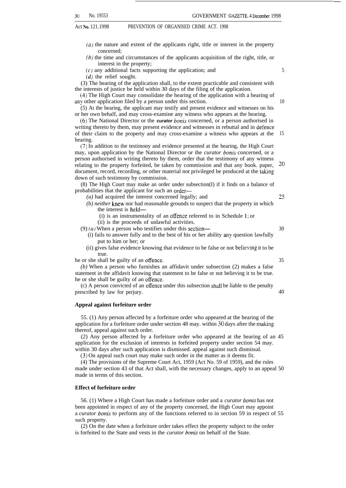Act No. 121.1998 PREVENTION OF ORGANISED CRIME ACT. 1998

- *(a)* the nature and extent of the applicants right, title or interest in the property concerned;
- $(b)$  the time and circumstances of the applicants acquisition of the right, title, or interest in the property;
- $(c)$  any additional facts supporting the application; and

(d) the relief sought.

(3) The hearing of the application shall, to the extent practicable and consistent with the interests of justice be held within 30 days of the filing of the application.

(4) The High Court may consolidate the hearing of the application with a hearing of any other application filed by a person under this section.

(5) At the hearing, the applicant may testify and present evidence and witnesses on his or her own behalf, and may cross-examine any witness who appears at the hearing.

(6) The National Director or the **curator** *bonis* concerned, or a person authorised in writing thereto by them, may present evidence and witnesses in rebuttal and in defence of their claim to the property and may cross-examine a witness who appears at the hearing. 15

(7) In addition to the testimony and evidence presented at the hearing, the High Court may, upon application by the National Director or the *curator bonis* concerned, or a person authorised in writing thereto by them, order that the testimony of any witness relating to the property forfeited, be taken by commission and that any book. paper, document, record, recording, or other material not privileged be produced at the taking down of such testimony by commission. ~o

(8) The High Court may make an order under subsection(I) if it finds on a balance of probabilities that the applicant for such an order—

- *(a)* had acquired the interest concerned legally; and
- *(b) neither* knew nor had reasonable grounds to suspect that the property in which the interest is held—
	- (i) is an instrumentality of an offence referred to in Schedule 1; or

(ii) is the proceeds of unlawful activities.

- (9) *(a)* When a person who testifies under this section—
	- (i) fails to answer fully and to the best of his or her ability any question lawfully put to him or her; or
	- (ii) gives false evidence knowing that evidence to be false or not believing it to be true.

he or she shall be guilty of an offence.

*(b)* When a person who furnishes an affidavit under subsection (2) makes a false statement in the affidavit knowing that statement to be false or not believing it to be true. he or she shall be guilty of an offence.

(c) A person convicted of an offence under this subsection shall be liable to the penalty prescribed by law for perjury.

### **Appeal against forfeiture order**

55. (1) Any person affected by a forfeiture order who appeared at the hearing of the application for a forfeiture order under section 48 may. within 30 days after the making thereof, appeal against such order.

(2) Any person affected by a forfeiture order who appeared at the hearing of an 45 application for the exclusion of interests in forfeited property under section 54 may. within 30 days after such application is dismissed. appeal against such dismissal.

(3) On appeal such court may make such order in the matter as it deems fit.

(4) The provisions of the Supreme Court Act, 1959 (Act No. 59 of 1959), and the rules made under section 43 of that Act shall, with the necessary changes, apply to an appeal 50 made in terms of this section.

### **Effect of forfeiture order**

56. (1) Where a High Court has made a forfeiture order and a *curator bonis* has not been appointed in respect of any of the property concerned, the High Court may appoint a *curator bonis* to perform any of the functions referred to in section 59 in respect of 55 such property.

(2) On the date when a forfeiture order takes effect the property subject to the order is forfeited to the State and vests in the *curator bonis* on behalf of the State.

35

40

10

5

. ..,.,

25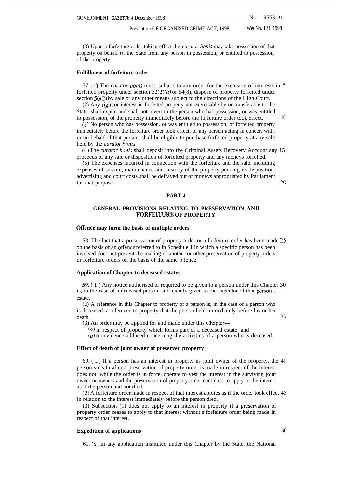Prevention OF ORGANISED CRIME ACT, 1998 Wet No. 121, 1998

(3) Upon a forfeiture order taking effect the *curator bonis* may take possession of that property on behalf of the State from any person in possession, or entitled to possession, of the property.

#### **Fulfillment of forfeiture order**

57. (1) The *curator bonis* must, subject to any order for the exclusion of interests in j forfeited property under section *52(2)(a)* or 54(8), dispose of property forfeited under section  $56(2)$  by sale or any other means subject to the directions of the High Court.

(2) Any tight or interest in forfeited property not exercisable by or transferable to the State. shall expire and shall not revert to the person who has possession, or was entitled to possession, of the property immediately before the forfeiture order took effect. 10

(3) No person who has possession. or was entitled to possession, of forfeited property immediately before the forfeiture order took effect, or any person acting in concert with. or on behalf of that person. shall be eligible to purchase forfeited property at any sale held by the *curator bonis.*

*(4)* The *curator bonis* shall deposit into the Criminal Assets Recovery Account any 15 proceeds of any sale or disposition of forfeited property and any moneys forfeited.

(5) The expenses incurred in connection with the forfeiture and the sale. including expenses of seizure, maintenance and custody of the property pending its disposition. advertising and court costs shall be defrayed out of moneys appropriated by Parliament for that purpose.  $20$ 

#### **PART 4**

### **GENERAL PROVISIONS RELATING TO PRESERVATION AND FORFEITURE OF PROPERTY**

### **Offence may form the basis of multiple orders**

58. The fact that a preservation of property order or a forfeiture order has been made 25 on the basis of an offence referred to in Schedule 1 in which a specific person has been involved does not prevent the making of another or other preservation of property orders or forfeiture orders on the basis of the same otfence.

### **Application of Chapter to deceased estates**

59. (1) Any notice authorised or required to be given to a person under this Chapter 30 is, in the case of a deceased person, sufficiently given to the executor of that person's estate.

(2) A reference in this Chapter to property of a person is, in the case of a person who is deceased. a reference to property that the person held immediately before his or her death. 35

(3) An order may be applied for and made under this Chapter—

 $(a)$  in respect of property which forms part of a deceased estate; and

*(b)* on evidence adduced concerning the activities of a person who is deceased.

### **Effect of death of joint owner of preserved property**

60.  $(1)$  If a person has an interest in property as joint owner of the property. the 40 person's death after a preservation of property order is made in respect of the interest does not, while the order is in force, operate to vest the interest in the surviving joint owner or owners and the preservation of property order continues to apply to the interest as if the person had not died.

(2) A forfeiture order made in respect of that interest applies as if the order took effect 45 in relation to the interest immediately before the person died.

(3) Subsection (1) does not apply to an interest in property if a preservation of property order ceases to apply to that interest without a forfeiture order being made in respect of that interest.

### **Expedition of applications 50**

61. *(a)* In any application instituted under this Chapter by the State, the National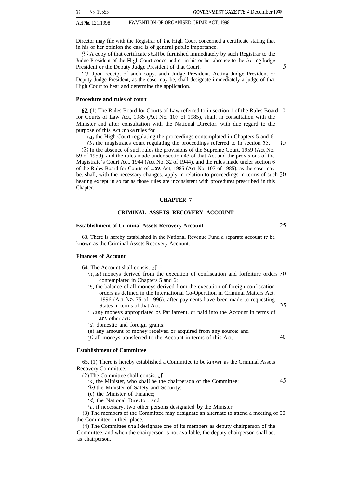Act **No.** 121.1998 PWVENTION OF ORGANISED CRIME ACT. 1998

Director may file with the Registrar of the High Court concerned a certificate stating that in his or her opinion the case is of general public importance.

 $(b)$  A copy of that certificate shall be furnished immediately by such Registrar to the Judge President of the High Court concerned or in his or her absence to the Acting Judge President or the Deputy Judge President of that Court. 5

(c) Upon receipt of such copy. such Judge President. Acting Judge President or Deputy Judge President, as the case may be, shall designate immediately a judge of that High Court to hear and determine the application.

### **Procedure and rules of court**

62, (1) The Rules Board for Courts of Law referred to in section 1 of the Rules Board 10 for Courts of Law Act, 1985 (Act No. 107 of 1985), shall. in consultation with the Minister and after consultation with the National Director. with due regard to the purpose of this Act make rules for-

 $(a)$  the High Court regulating the proceedings contemplated in Chapters 5 and 6:

 $(b)$  the magistrates court regulating the proceedings referred to in section 53. 15 (2) In the absence of such rules the provisions of the Supreme Court. 1959 (Act No. 59 of 1959). and the rules made under section 43 of that Act and the provisions of the Magistrate's Court Act. 1944 (Act No. 32 of 1944), and the rules made under section 6 of the Rules Board for Courts of Law Act, 1985 (Act No. 107 of 1985). as the case may be. shall, with the necessary changes. apply in relation to proceedings in terms of such 20 hearing except in so far as those rules are inconsistent with procedures prescribed in this Chapter.

#### **CHAPTER 7**

### **CRIMINAL ASSETS RECOVERY ACCOUNT**

### **Establishment of Criminal Assets Recovery Account 25**

63. There is hereby established in the National Revenue Fund a separate account to be known as the Criminal Assets Recovery Account.

#### **Finances of Account**

64. The Account shall consist of—

- $(a)$  all moneys derived from the execution of confiscation and forfeiture orders 30 contemplated in Chapters 5 and 6:
- (b) the balance of all moneys derived from the execution of foreign confiscation orders as defined in the International Co-Operation in Criminal Matters Act. 1996 (Act No. 75 of 1996). after payments have been made to requesting States in terms of that Act: 35
- (c) any moneys appropriated by Parliament. or paid into the Account in terms of any other act:

 $(d)$  domestic and foreign grants:

(e) any amount of money received or acquired from any source: and

 $(f)$  all moneys transferred to the Account in terms of this Act.  $40$ 

#### **Establishment of Committee**

65. (1) There is hereby established a Committee to be hewn as the Criminal Assets Recovery Committee.

(2) The Committee shall consist of—

 $(a)$  the Minister, who shall be the chairperson of the Committee:  $45$ 

(b) the Minister of Safety and Security:

- (c) the Minister of Finance;
- (d) the National Director: and
- (e) if necessary, two other persons designated by the Minister.

(3) The members of the Committee may designate an alternate to attend a meeting of 50 the Committee in their place.

(4) The Committee shall designate one of its members as deputy chairperson of the Committee, and when the chairperson is not available, the deputy chairperson shall act as chairperson.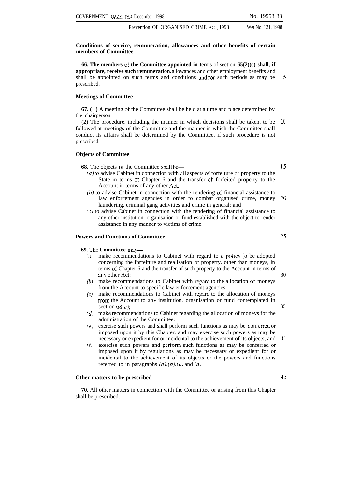Prevention OF ORGANISED CRIME ACT, 1998 Wet No. 121, 1998

### **Conditions of service, remuneration, allowances and other benefits of certain members of Committee**

**66. The members of the Committee appointed in** terms of section **65(2)(c) shall, if appropriate, receive such remuneration.** allowances and other employment benefits and shall be appointed on such terms and conditions and for such periods as may be prescribed.

### **Meetings of Committee**

**67.** (1) A meeting of the Committee shall be held at a time and place determined by the chairperson.

(2) The procedure. including the manner in which decisions shall be taken. to be followed at meetings of the Committee and the manner in which the Committee shall conduct its affairs shall be determined by the Committee. if such procedure is not prescribed. 10

#### **Objects of Committee**

**68.** The objects of the Committee shall be—

- *(a) to* advise Cabinet in connection with all aspects of forfeiture of property to the State in terms of Chapter 6 and the transfer of forfeited property to the Account in terms of any other Act:
- *(b)* to advise Cabinet in connection with the rendering of financial assistance to law enforcement agencies in order to combat organised crime, money laundering. criminal gang activities and crime in general; and 20
- (c) to advise Cabinet in connection with the rendering of financial assistance to any other institution. organisation or fund established with the object to render assistance in any manner to victims of crime.

### **Powers and Functions of Committee**

### **69. The Committee mav—** .

- $(a)$  make recommendations to Cabinet with regard to a policy [o be adopted concerning the forfeiture and realisation of property. other than moneys, in terms of Chapter 6 and the transfer of such property to the Account in terms of any other Act:
- *(b)* make recommendations to Cabinet with regard to the allocation of moneys from the Account to specific law enforcement agencies:
- *(c)* make recommendations to Cabinet with regard to the allocation of moneys from the Account to any institution. organisation or fund contemplated in section  $68(c)$ ;
- *(d)* make recommendations to Cabinet regarding the allocation of moneys for the administration of the Committee:
- $(e)$  exercise such powers and shall perform such functions as may be conferred or imposed upon it by this Chapter. and may exercise such powers as may be necessary or expedient for or incidental to the achievement of its objects; and 40
- *(f)* exercise such powers and perfom such functions as may be conferred or imposed upon it by regulations as may be necessary or expedient for or incidental to the achievement of its objects or the powers and functions referred to in paragraphs  $(a)$ ,  $(b)$ ,  $(c)$  and  $(d)$ .

### **Other matters to be prescribed**

**70.** All other matters in connection with the Committee or arising from this Chapter shall be prescribed.

lj

25

35

45

j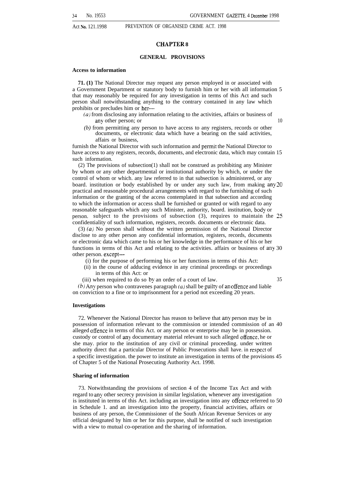Act **No.** 121.1998 PREVENTION OF ORGANISED CRIME ACT. 1998

### **CHAPTER 8**

### **GENERAL PROVISIONS**

### **Access to information**

**71. (1)** The National Director may request any person employed in or associated with a Government Department or statutory body to furnish him or her with all information 5 that may reasonably be required for any investigation in terms of this Act and such person shall notwithstanding anything to the contrary contained in any law which prohibits or precludes him or her—

- (a) from disclosing any information relating to the activities, affairs or business of any other person; or 10
- *(b)* from permitting any person to have access to any registers, records or other documents, or electronic data which have a bearing on the said activities, affairs or business,

furnish the National Director with such information and permit the National Director to have access to any registers, records, documents, and electronic data, which may contain 15 such information.

(2) The provisions of subsection(1) shall not be construed as prohibiting any Minister by whom or any other departmental or institutional authority by which, or under the control of whom or which. any law referred to in that subsection is administered, or any board. institution or body established by or under any such law, from making any 20 practical and reasonable procedural arrangements with regard to the furnishing of such information or the granting of the access contemplated in that subsection and according to which the information or access shall be furnished or granted or with regard to any reasonable safeguards which any such Minister, authority, board. institution, body or person. subject to the provisions of subsection (3), requires to maintain the 25 confidentiality of such information, registers, records. documents or electronic data.

(3) (a) No person shall without the written permission of the National Director disclose to any other person any confidential information, registers, records, documents or electronic data which came to his or her knowledge in the performance of his or her functions in terms of this Act and relating to the activities. affairs or business of any 30 other person. except—

- (i) for the purpose of performing his or her functions in terms of this Act:
- (ii) in the course of adducing evidence in any criminal proceedings or proceedings in terms of this Act: or
- (iii) when required to do so by an order of a court of law. 35

(b) Any person who contravenes paragraph *(a)* shall be guilty of an offence and liable on conviction to a fine or to imprisonment for a period not exceeding 20 years.

### **Investigations**

72. Whenever the National Director has reason to believe that any person may be in possession of information relevant to the commission or intended commission of an 40 alleged offence in terms of this Act. or any person or enterprise may be in possession. custody or control of any documentary material relevant to such alleged offence. he or she may. prior to the institution of any civil or criminal proceeding. under written authority direct that a particular Director of Public Prosecutions shall have. in respect of a specific investigation. the power to institute an investigation in terms of the provisions 45 of Chapter 5 of the National Prosecuting Authority Act. 1998.

#### **Sharing of information**

73. Notwithstanding the provisions of section 4 of the Income Tax Act and with regard to any other secrecy provision in similar legislation, whenever any investigation is instituted in terms of this Act. including an investigation into any offence referred to 50 in Schedule 1. and an investigation into the property, financial activities, affairs or business of any person, the Commissioner of the South African Revenue Services or any official designated by him or her for this purpose, shall be notified of such investigation with a view to mutual co-operation and the sharing of information.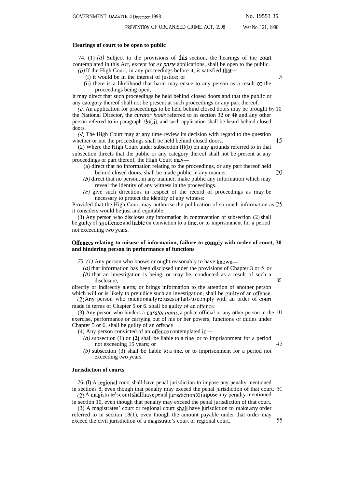#### **Hearings of court to be open to public**

74. (1) (a) Subject to the provisions of this section, the hearings of the court contemplated in this Act, except for ex *parre* applications, shall be open to the public. (b) If the High Court, in any proceedings before it, is satisfied that—

 $(i)$  it would be in the interest of justice; or  $5$ 

(ii) there is a likelihood that harm may ensue to any person as a result of the proceedings being open,

it may direct that such proceedings be held behind closed doors and that the public or any category thereof shall not be present at such proceedings or any part thereof.

 $(c)$  An application for proceedings to be held behind closed doors may be brought by 10 the National Director, the *curator bonis* referred to in section 32 or 48 and any other person referred to in paragraph  $(b)(ii)$ , and such application shall be heard behind closed doors.

(d) The High Court may at any time review its decision with regard to the question whether or not the proceedings shall be held behind closed doors. list

(2) Where the High Court under subsection (l)(b) on any grounds referred to in that subsection directs that the public or any category thereof shall not be present at any proceedings or part thereof, the High Court may—

(a) direct that no information relating to the proceedings, or any part thereof held behind closed doors, shall be made public in any manner; 20

- *(b)* direct that no person, in any manner, make public any information which may reveal the identity of any witness in the proceedings.
- (c) give such directions in respect of the record of proceedings as may be necessary to protect the identity of any witness:

Provided that the High Court may authorise the publication of so much information as 25 it considers would be just and equitable.

(3) Any person who discloses any information in contravention of subsection (2) shall be guilty of an offence and liable on conviction to a fine, or to imprisonment for a period not exceeding two years.

### **Offences relating to misuse of information, failure to comply with order of court, 30 and hindering person in performance of functions**

*75. (1)* Any person who knows or ought reasonably to have known—

 $(a)$  that information has been disclosed under the provisions of Chapter 3 or 5; or

(b) that an investigation is being, or may be. conducted as a result of such a disclosure, 35

directly or indirectly alerts, or brings information to the attention of another person which will or is likely to prejudice such an investigation, shall be guilty of an ofience.

(~) **Any** person who **intentionally refuses or fails to** comply with an order of **court** made in terms of Chapter 5 or 6. shall be guilty of an offence.

(3) Any person who hinders a *curator bonis*, a police official or any other person in the 40 exercise, performance or carrying out of his or her powers, functions or duties under Chapter 5 or 6, shall be guilty of an offence.

(4) Any person convicted of an offence contemplated in—

- **(a)** subsection (1) or **(2)** shall be liable to a tine. or to imprisonment for a period not exceeding 15 years; or 45
- *(b)* subsection (3) shall be liable to a tine, or to imprisonment for a period not exceeding two years.

#### **Jurisdiction of courts**

76. (1) A regional court shall have penal jurisdiction to impose any penalty mentioned in sections 8, even though that penalty may exceed the penal jurisdiction of that court.  $50$ (~) A **magistrate's COUfl shall have** penal **jurisdiction to** impose any penaity mentioned

in section 10, even though that penalty may exceed the penal jurisdiction of that court.

 $(3)$  A magistrates' court or regional court shall have jurisdiction to make any order referred to in section 18(1), even though the amount payable under that order may exceed the civil jurisdiction of a magistrate's court or regional court. 55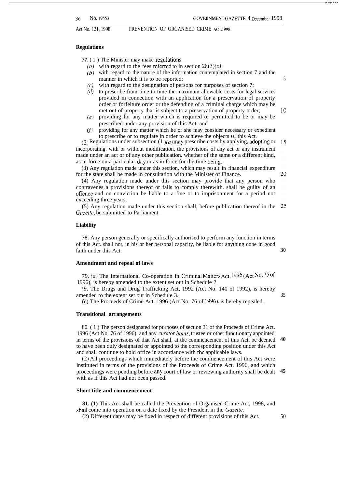36 No. 19553 GOVERNMENT GAZETTE, 4 December 1998

. .. . .

### Act No. 121, 1998 PREVENTION OF ORGANISED CRIME ACT, 1998

#### **Regulations**

**77. (** 1 ) The Minister may make regulations—

- (a) with regard to the fees referred to in section  $28(3)(c)$ :
- *(b)* with regard to the nature of the information contemplated in section 7 and the manner in which it is to be reported: 5
- *(c)* with regard to the designation of persons for purposes of section 7;
- *(d)* to prescribe from time to time the maximum allowable costs for legal services provided in connection with an application for a preservation of property order or forfeiture order or the defending of a criminal charge which may be met out of property that is subject to a preservation of property order: 10
- *(e)* providing for any matter which is required or permitted to be or may be prescribed under any provision of this Act: and
- *(f)* providing for any matter which he or she may consider necessary or expedient to prescribe or to regulate in order to achieve the objects of this Act.

(2) Regulations under subsection (1)(a) may prescribe costs by applying, adopting or 15 incorporating. with or without modification, the provisions of any act or any instrument made under an act or of any other publication. whether of the same or a different kind, as in force on a particular day or as in force for the time being.

(3) Any regulation made under this section, which may result in financial expenditure for the state shall be made in consultation with the Minister of Finance.

(4) Any regulation made under this section may provide that any person who contravenes a provisions thereof or fails to comply therewith. shall be guilty of an offence and on conviction be liable to a fine or to imprisonment for a period not exceeding three years.

(5) Any regulation made under this section shall, before publication thereof in the *Gazette,* be submitted to Parliament.

### **Liability**

78. Any person generally or specifically authorised to perform any function in terms of this Act. shall not, in his or her personal capacity, be liable for anything done in good faith under this Act.

### **Amendment and repeal of laws**

79. (a) The International Co-operation in Criminal Matters Act. <sup>1996</sup> (Act No. 75 of 1996), is hereby amended to the extent set out in Schedule 2.

(b) The Drugs and Drug Trafficking Act, 1992 (Act No. 140 of 1992), is hereby amended to the extent set out in Schedule 3.

(c) The Proceeds of Crime Act. 1996 (Act No. 76 of 1996). is hereby repealed.

### **Transitional arrangements**

80. ( 1 ) The person designated for purposes of section 31 of the Proceeds of Crime Act. 1996 (Act No. 76 of 1996), and any *curator bonis*, trustee or other functionary appointed in terms of the provisions of that Act shall, at the commencement of this Act, be deemed **40** to have been duly designated or appointed to the corresponding position under this Act and shall continue to hold office in accordance with the applicable laws.

(2) All proceedings which immediately before the commencement of this Act were instituted in terms of the provisions of the Proceeds of Crime Act. 1996, and which proceedings were pending before any court of law or reviewing authority shall be dealt **45** with as if this Act had not been passed.

### **Short title and commencement**

**81. (1)** This Act shall be called the Prevention of Organised Crime Act, 1998, and shall come into operation on a date fixed by the President in the *Gazette.*

(2) Different dates may be fixed in respect of different provisions of this Act.

50

**30**

20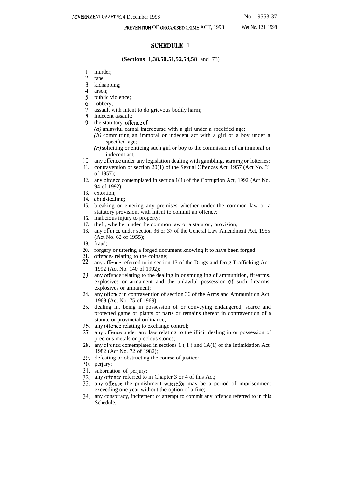### **SCHEDULE** 1

### **(Sections 1,38,50,51,52,54,58** and 73)

- 1 murder;
- *2.* rape;
- *3.* kidnapping;
- *4,* arson;
- *5.* public violence;
- *6.* robbery;
- *7.* assault with intent to do grievous bodily harm;
- *8.* indecent assault;
- *9.* the statutory offence of—
	- *(a)* unlawful carnal intercourse with a girl under a specified age;
	- *(b)* committing an immoral or indecent act with a girl or a boy under a specified age;
	- (c) soliciting or enticing such girl or boy to the commission of an immoral or indecent act;
- 10, any offence under any legislation dealing with gambling, gaming or lotteries:
- 11. contravention of section 20(1) of the Sexual Offences Act, 1957 (Act No. 23 of 1957);
- 12. any offence contemplated in section 1(1) of the Corruption Act, 1992 (Act No. 94 of 1992);
- 13. extortion;
- 14. childstealing;
- 15. breaking or entering any premises whether under the common law or a statutory provision, with intent to commit an offence;
- 16. malicious injury to property;
- 17. theft, whether under the common law or a statutory provision;
- 18. any offence under section 36 or 37 of the General Law Amendment Act, 1955 (Act No. 62 of 1955);
- 19. fraud;
- 20. forgery or uttering a forged document knowing it to have been forged:
- 21. offences relating to the coinage;
- 22. any offence referred to in section 13 of the Drugs and Drug Trafficking Act. 1992 (Act No. 140 of 1992);
- 23. any offence relating to the dealing in or smuggling of ammunition, firearms. explosives or armament and the unlawful possession of such firearms. explosives or armament;
- 24. any offence in contravention of section 36 of the Arms and Ammunition Act, 1969 (Act No. 75 of 1969);
- 25. dealing in, being in possession of or conveying endangered, scarce and protected game or plants or parts or remains thereof in contravention of a statute or provincial ordinance;
- 26, any offence relating to exchange control;
- 27. any offence under any law relating to the illicit dealing in or possession of precious metals or precious stones;
- 28, any offence contemplated in sections 1 ( 1 ) and 1A(1) of the Intimidation Act. 1982 (Act No. 72 of 1982);
- 29. defeating or obstructing the course of justice:
- 30. perjury;
- 31. subornation of perjury;
- 32. any offence referred to in Chapter 3 or 4 of this Act;
- 33. any offence the punishment wherefor may be a period of imprisonment exceeding one year without the option of a fine;
- 34. any conspiracy, incitement or attempt to commit any offence referred to in this Schedule.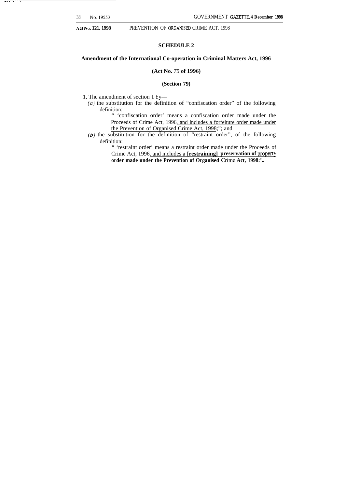. . . . .. . .

Act **No. 121, 1998** PREVENTION OF ORGANISED CRIME ACT. 1998

### **SCHEDULE 2**

### **Amendment of the International Co-operation in Criminal Matters Act, 1996**

### **(Act No.** *75* **of 1996)**

### **(Section 79)**

1, The amendment of section 1 by—

*(a)* the substitution for the definition of "confiscation order" of the following definition:

> " 'confiscation order' means a confiscation order made under the Proceeds of Crime Act, 1996, and includes a forfeiture order made under the Prevention of Organised Crime Act, 1998;"; and

(b) the substitution for the definition of "restraint order", of the following definition:

" 'restraint order' means a restraint order made under the Proceeds of Crime Act, 1996. and includes a **[restraining] preservation of propertv** order made under the Prevention of Organised Crime Act, 1998:'..<sup>7</sup>